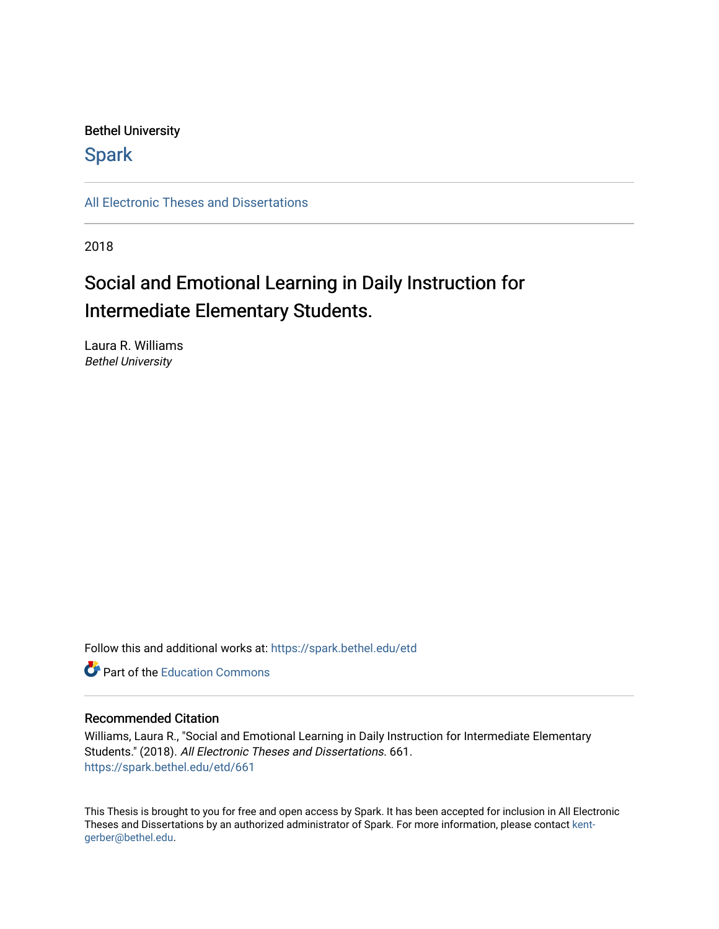### Bethel University

## **Spark**

[All Electronic Theses and Dissertations](https://spark.bethel.edu/etd) 

2018

## Social and Emotional Learning in Daily Instruction for Intermediate Elementary Students.

Laura R. Williams Bethel University

Follow this and additional works at: [https://spark.bethel.edu/etd](https://spark.bethel.edu/etd?utm_source=spark.bethel.edu%2Fetd%2F661&utm_medium=PDF&utm_campaign=PDFCoverPages)

**C** Part of the [Education Commons](http://network.bepress.com/hgg/discipline/784?utm_source=spark.bethel.edu%2Fetd%2F661&utm_medium=PDF&utm_campaign=PDFCoverPages)

#### Recommended Citation

Williams, Laura R., "Social and Emotional Learning in Daily Instruction for Intermediate Elementary Students." (2018). All Electronic Theses and Dissertations. 661. [https://spark.bethel.edu/etd/661](https://spark.bethel.edu/etd/661?utm_source=spark.bethel.edu%2Fetd%2F661&utm_medium=PDF&utm_campaign=PDFCoverPages)

This Thesis is brought to you for free and open access by Spark. It has been accepted for inclusion in All Electronic Theses and Dissertations by an authorized administrator of Spark. For more information, please contact [kent](mailto:kent-gerber@bethel.edu)[gerber@bethel.edu.](mailto:kent-gerber@bethel.edu)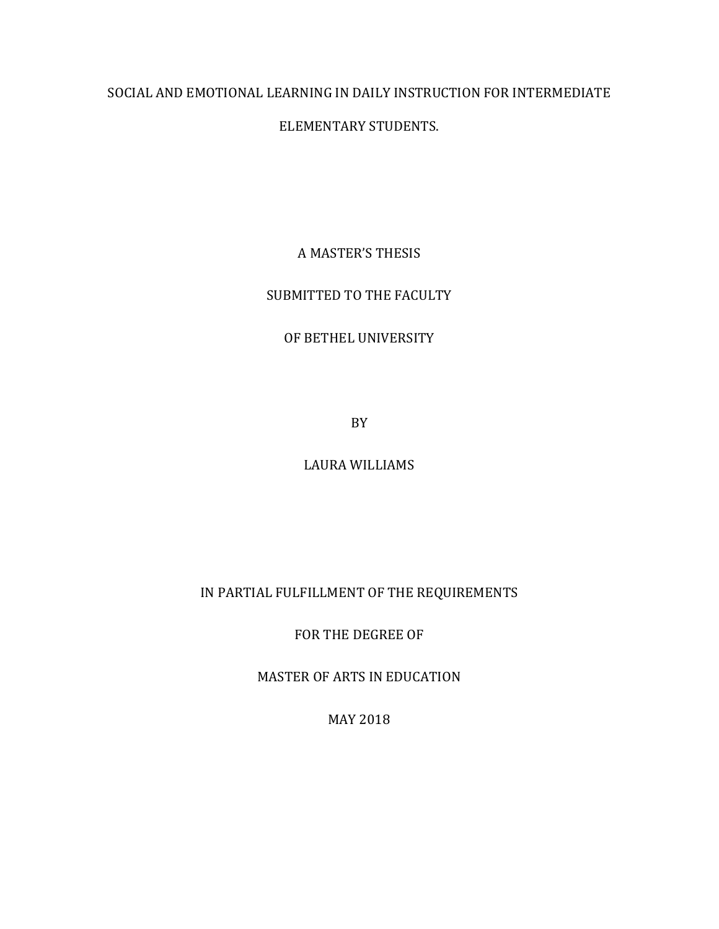# SOCIAL AND EMOTIONAL LEARNING IN DAILY INSTRUCTION FOR INTERMEDIATE

## ELEMENTARY STUDENTS.

## A MASTER'S THESIS

## SUBMITTED TO THE FACULTY

## OF BETHEL UNIVERSITY

BY

## LAURA WILLIAMS

## IN PARTIAL FULFILLMENT OF THE REQUIREMENTS

FOR THE DEGREE OF

MASTER OF ARTS IN EDUCATION

MAY 2018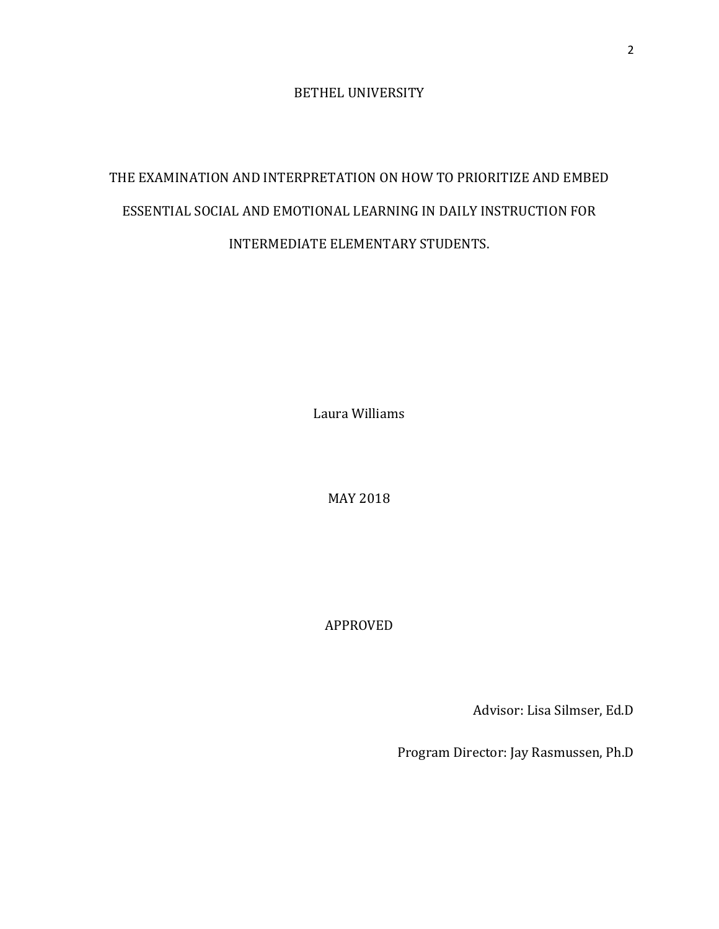BETHEL UNIVERSITY

# THE EXAMINATION AND INTERPRETATION ON HOW TO PRIORITIZE AND EMBED ESSENTIAL SOCIAL AND EMOTIONAL LEARNING IN DAILY INSTRUCTION FOR INTERMEDIATE ELEMENTARY STUDENTS.

Laura Williams

MAY 2018

APPROVED

Advisor: Lisa Silmser, Ed.D

Program Director: Jay Rasmussen, Ph.D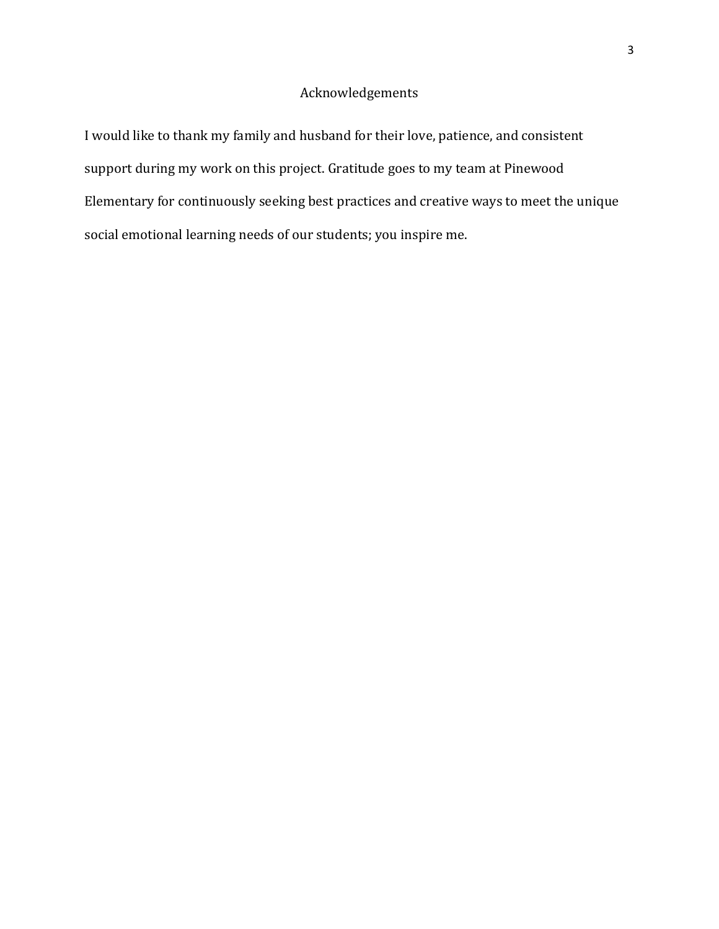## Acknowledgements

I would like to thank my family and husband for their love, patience, and consistent support during my work on this project. Gratitude goes to my team at Pinewood Elementary for continuously seeking best practices and creative ways to meet the unique social emotional learning needs of our students; you inspire me.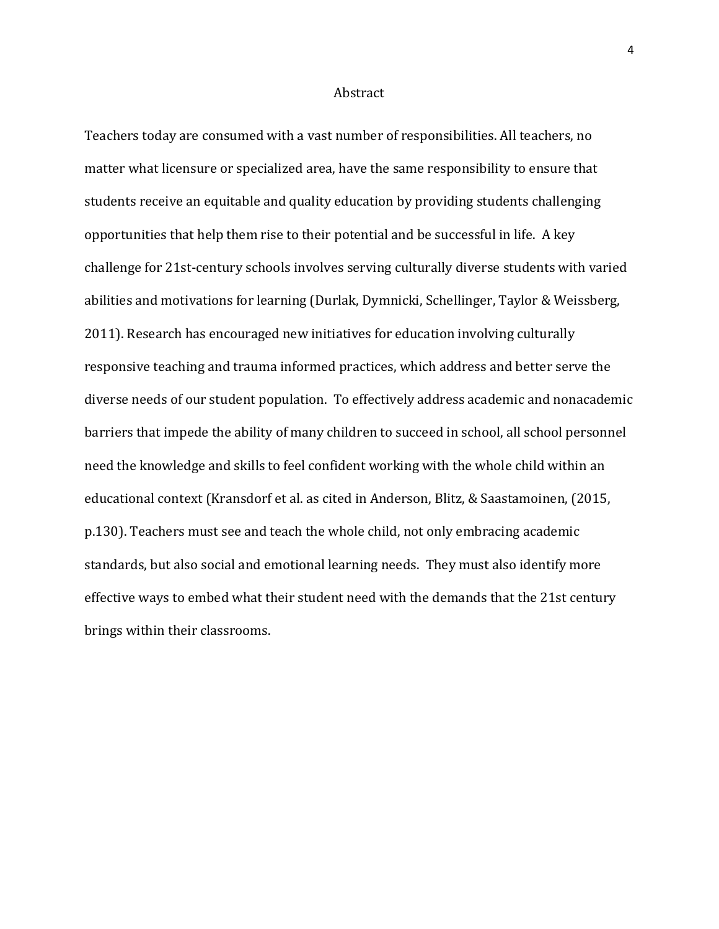#### **Abstract**

Teachers today are consumed with a vast number of responsibilities. All teachers, no matter what licensure or specialized area, have the same responsibility to ensure that students receive an equitable and quality education by providing students challenging opportunities that help them rise to their potential and be successful in life. A key challenge for 21st-century schools involves serving culturally diverse students with varied abilities and motivations for learning (Durlak, Dymnicki, Schellinger, Taylor & Weissberg, 2011). Research has encouraged new initiatives for education involving culturally responsive teaching and trauma informed practices, which address and better serve the diverse needs of our student population. To effectively address academic and nonacademic barriers that impede the ability of many children to succeed in school, all school personnel need the knowledge and skills to feel confident working with the whole child within an educational context (Kransdorf et al. as cited in Anderson, Blitz, & Saastamoinen, (2015, p.130). Teachers must see and teach the whole child, not only embracing academic standards, but also social and emotional learning needs. They must also identify more effective ways to embed what their student need with the demands that the 21st century brings within their classrooms.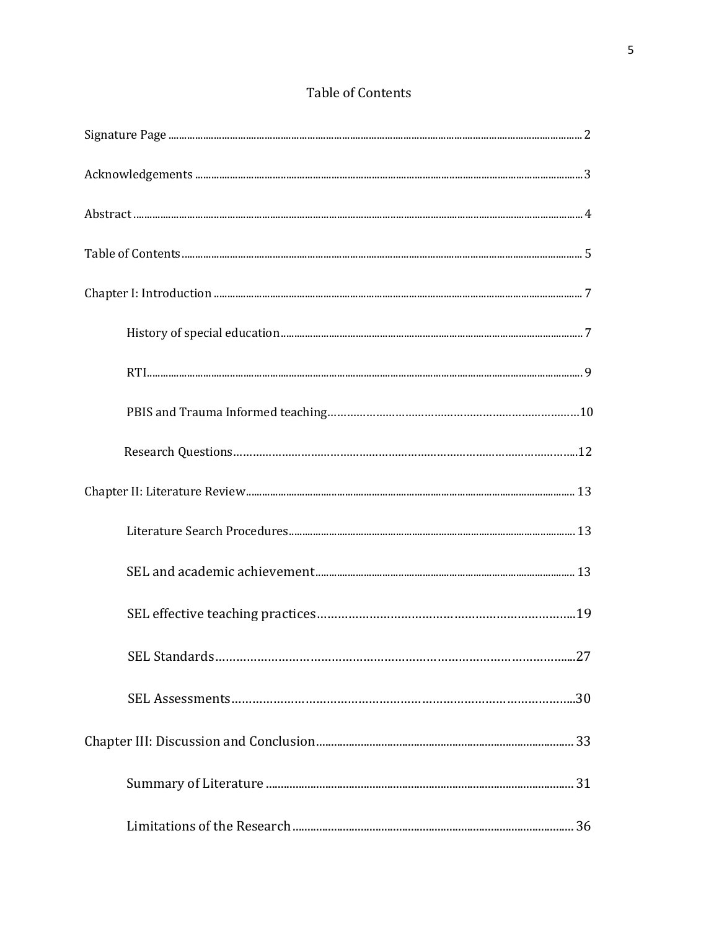## Table of Contents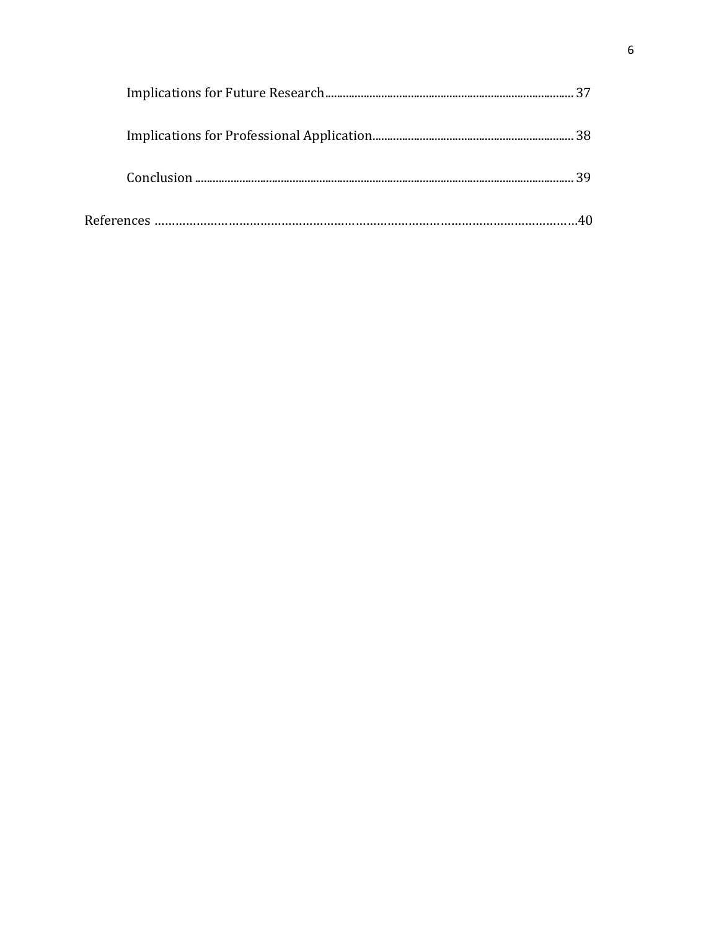| 30 |
|----|
|    |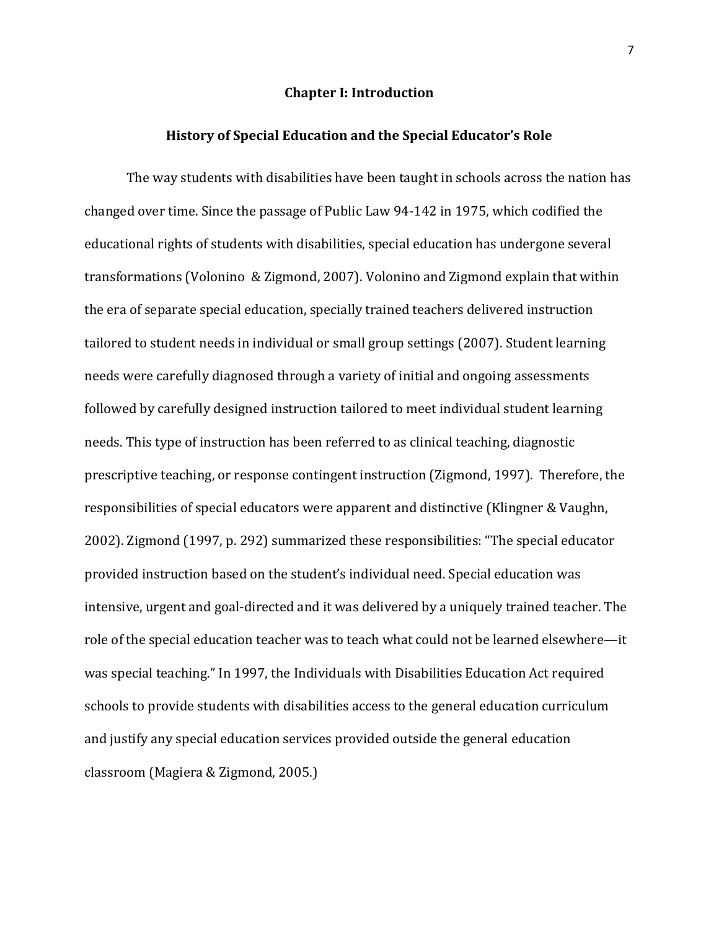#### **Chapter I: Introduction**

#### **History of Special Education and the Special Educator's Role**

The way students with disabilities have been taught in schools across the nation has changed over time. Since the passage of Public Law 94-142 in 1975, which codified the educational rights of students with disabilities, special education has undergone several transformations (Volonino & Zigmond, 2007). Volonino and Zigmond explain that within the era of separate special education, specially trained teachers delivered instruction tailored to student needs in individual or small group settings (2007). Student learning needs were carefully diagnosed through a variety of initial and ongoing assessments followed by carefully designed instruction tailored to meet individual student learning needs. This type of instruction has been referred to as clinical teaching, diagnostic prescriptive teaching, or response contingent instruction (Zigmond, 1997). Therefore, the responsibilities of special educators were apparent and distinctive (Klingner & Vaughn, 2002). Zigmond (1997, p. 292) summarized these responsibilities: "The special educator provided instruction based on the student's individual need. Special education was intensive, urgent and goal-directed and it was delivered by a uniquely trained teacher. The role of the special education teacher was to teach what could not be learned elsewhere—it was special teaching." In 1997, the Individuals with Disabilities Education Act required schools to provide students with disabilities access to the general education curriculum and justify any special education services provided outside the general education classroom (Magiera & Zigmond, 2005.)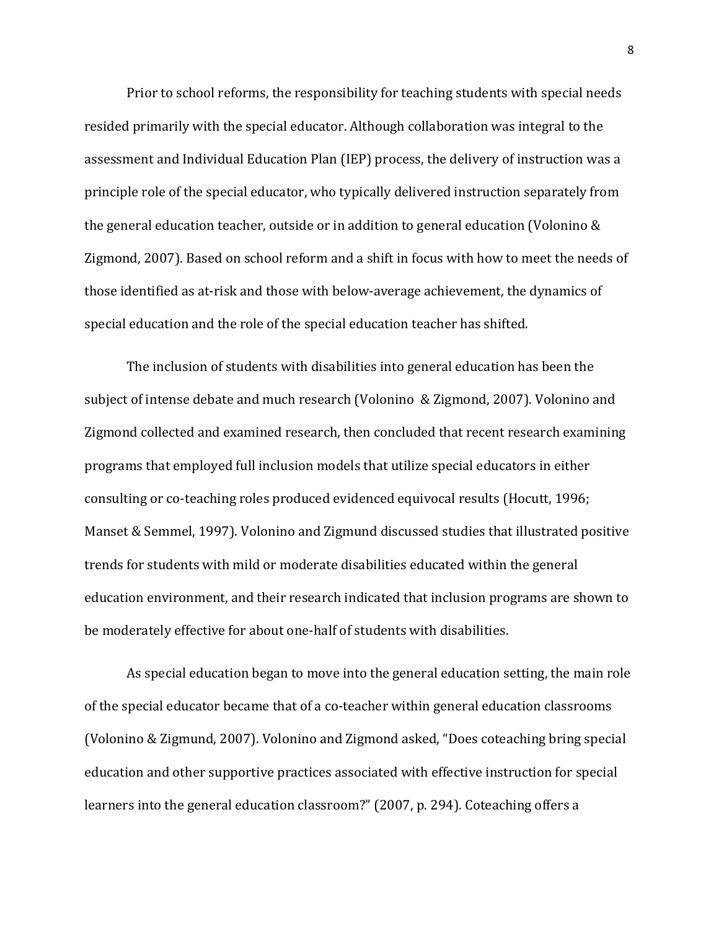Prior to school reforms, the responsibility for teaching students with special needs resided primarily with the special educator. Although collaboration was integral to the assessment and Individual Education Plan (IEP) process, the delivery of instruction was a principle role of the special educator, who typically delivered instruction separately from the general education teacher, outside or in addition to general education (Volonino & Zigmond, 2007). Based on school reform and a shift in focus with how to meet the needs of those identified as at-risk and those with below-average achievement, the dynamics of special education and the role of the special education teacher has shifted.

The inclusion of students with disabilities into general education has been the subject of intense debate and much research (Volonino & Zigmond, 2007). Volonino and Zigmond collected and examined research, then concluded that recent research examining programs that employed full inclusion models that utilize special educators in either consulting or co-teaching roles produced evidenced equivocal results (Hocutt, 1996; Manset & Semmel, 1997). Volonino and Zigmund discussed studies that illustrated positive trends for students with mild or moderate disabilities educated within the general education environment, and their research indicated that inclusion programs are shown to be moderately effective for about one-half of students with disabilities.

As special education began to move into the general education setting, the main role of the special educator became that of a co-teacher within general education classrooms (Volonino & Zigmund, 2007). Volonino and Zigmond asked, "Does coteaching bring special education and other supportive practices associated with effective instruction for special learners into the general education classroom?" (2007, p. 294). Coteaching offers a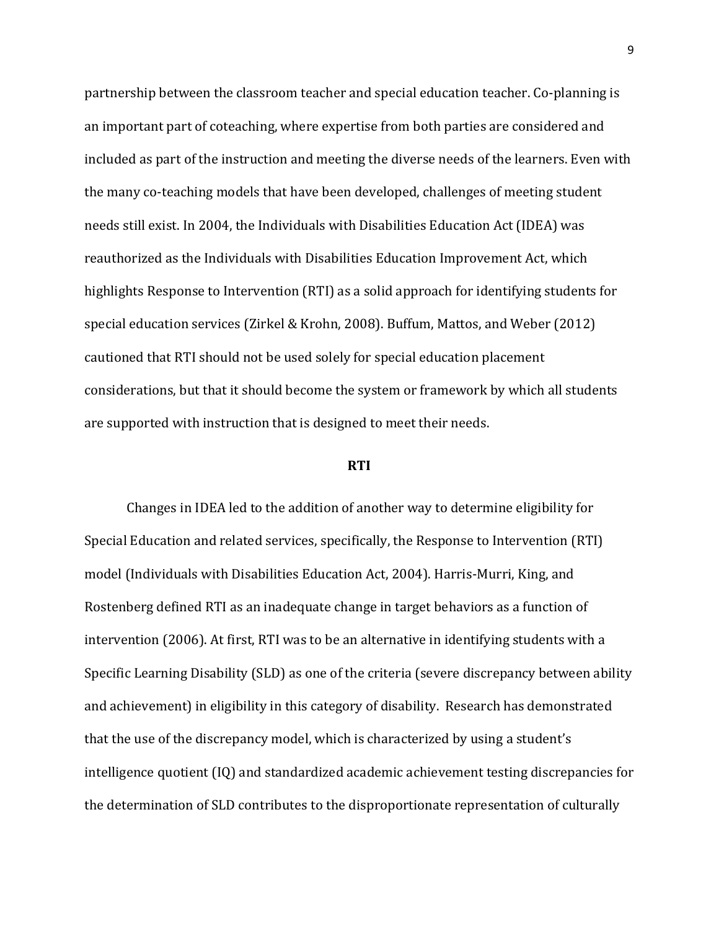partnership between the classroom teacher and special education teacher. Co-planning is an important part of coteaching, where expertise from both parties are considered and included as part of the instruction and meeting the diverse needs of the learners. Even with the many co-teaching models that have been developed, challenges of meeting student needs still exist. In 2004, the Individuals with Disabilities Education Act (IDEA) was reauthorized as the Individuals with Disabilities Education Improvement Act, which highlights Response to Intervention (RTI) as a solid approach for identifying students for special education services (Zirkel & Krohn, 2008). Buffum, Mattos, and Weber (2012) cautioned that RTI should not be used solely for special education placement considerations, but that it should become the system or framework by which all students are supported with instruction that is designed to meet their needs.

#### **RTI**

Changes in IDEA led to the addition of another way to determine eligibility for Special Education and related services, specifically, the Response to Intervention (RTI) model (Individuals with Disabilities Education Act, 2004). Harris-Murri, King, and Rostenberg defined RTI as an inadequate change in target behaviors as a function of intervention (2006). At first, RTI was to be an alternative in identifying students with a Specific Learning Disability (SLD) as one of the criteria (severe discrepancy between ability and achievement) in eligibility in this category of disability. Research has demonstrated that the use of the discrepancy model, which is characterized by using a student's intelligence quotient (IQ) and standardized academic achievement testing discrepancies for the determination of SLD contributes to the disproportionate representation of culturally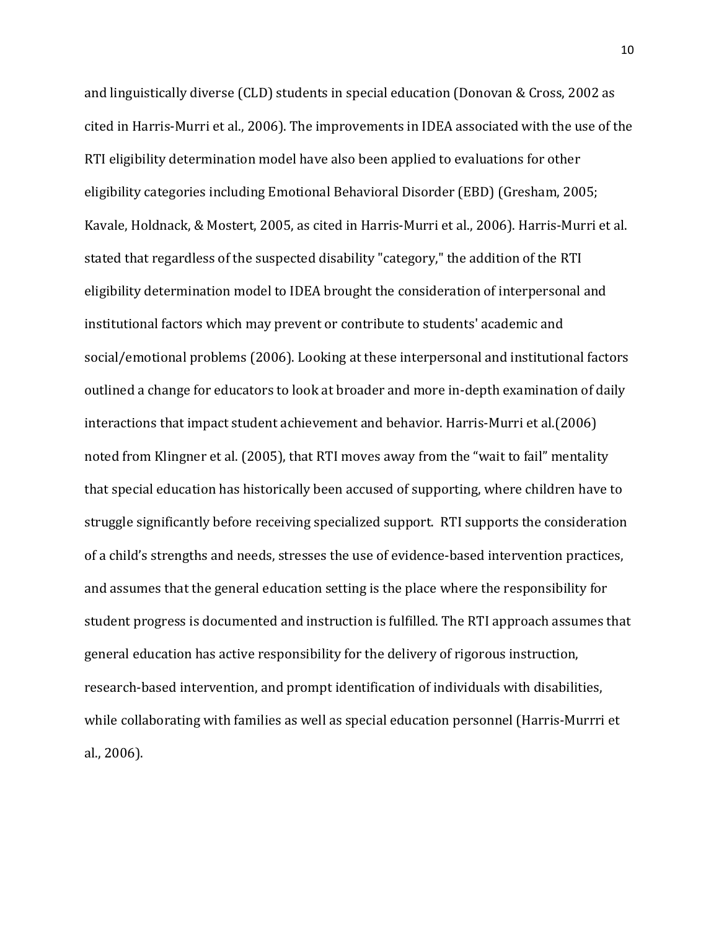and linguistically diverse (CLD) students in special education (Donovan & Cross, 2002 as cited in Harris-Murri et al., 2006). The improvements in IDEA associated with the use of the RTI eligibility determination model have also been applied to evaluations for other eligibility categories including Emotional Behavioral Disorder (EBD) (Gresham, 2005; Kavale, Holdnack, & Mostert, 2005, as cited in Harris-Murri et al., 2006). Harris-Murri et al. stated that regardless of the suspected disability "category," the addition of the RTI eligibility determination model to IDEA brought the consideration of interpersonal and institutional factors which may prevent or contribute to students' academic and social/emotional problems (2006). Looking at these interpersonal and institutional factors outlined a change for educators to look at broader and more in-depth examination of daily interactions that impact student achievement and behavior. Harris-Murri et al.(2006) noted from Klingner et al. (2005), that RTI moves away from the "wait to fail" mentality that special education has historically been accused of supporting, where children have to struggle significantly before receiving specialized support. RTI supports the consideration of a child's strengths and needs, stresses the use of evidence-based intervention practices, and assumes that the general education setting is the place where the responsibility for student progress is documented and instruction is fulfilled. The RTI approach assumes that general education has active responsibility for the delivery of rigorous instruction, research-based intervention, and prompt identification of individuals with disabilities, while collaborating with families as well as special education personnel (Harris-Murrri et al., 2006).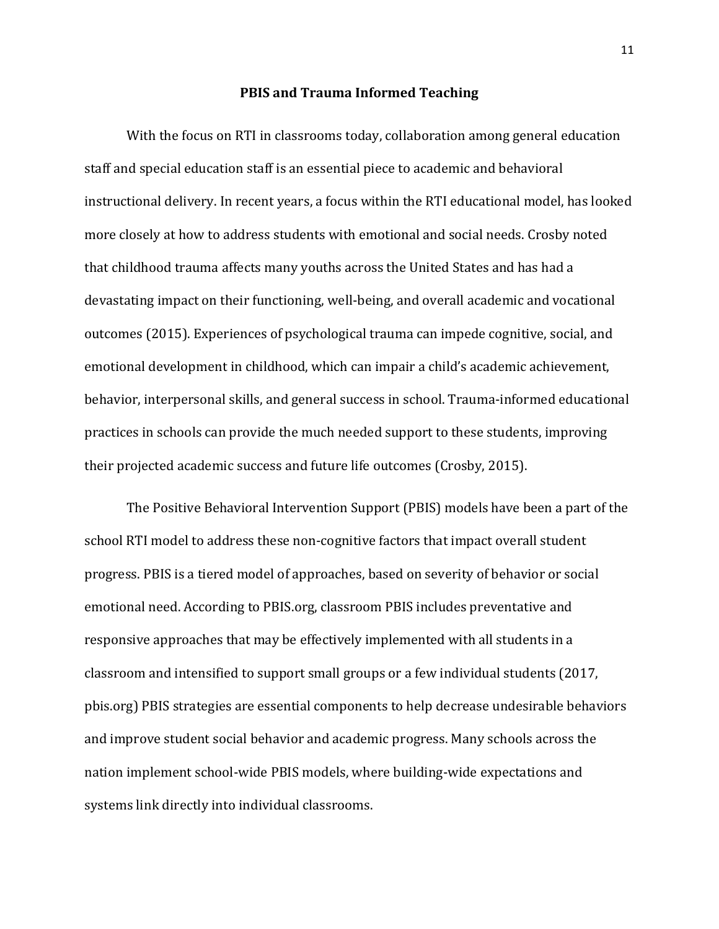#### **PBIS and Trauma Informed Teaching**

With the focus on RTI in classrooms today, collaboration among general education staff and special education staff is an essential piece to academic and behavioral instructional delivery. In recent years, a focus within the RTI educational model, has looked more closely at how to address students with emotional and social needs. Crosby noted that childhood trauma affects many youths across the United States and has had a devastating impact on their functioning, well-being, and overall academic and vocational outcomes (2015). Experiences of psychological trauma can impede cognitive, social, and emotional development in childhood, which can impair a child's academic achievement, behavior, interpersonal skills, and general success in school. Trauma-informed educational practices in schools can provide the much needed support to these students, improving their projected academic success and future life outcomes (Crosby, 2015).

The Positive Behavioral Intervention Support (PBIS) models have been a part of the school RTI model to address these non-cognitive factors that impact overall student progress. PBIS is a tiered model of approaches, based on severity of behavior or social emotional need. According to PBIS.org, classroom PBIS includes preventative and responsive approaches that may be effectively implemented with all students in a classroom and intensified to support small groups or a few individual students (2017, pbis.org) PBIS strategies are essential components to help decrease undesirable behaviors and improve student social behavior and academic progress. Many schools across the nation implement school-wide PBIS models, where building-wide expectations and systems link directly into individual classrooms.

11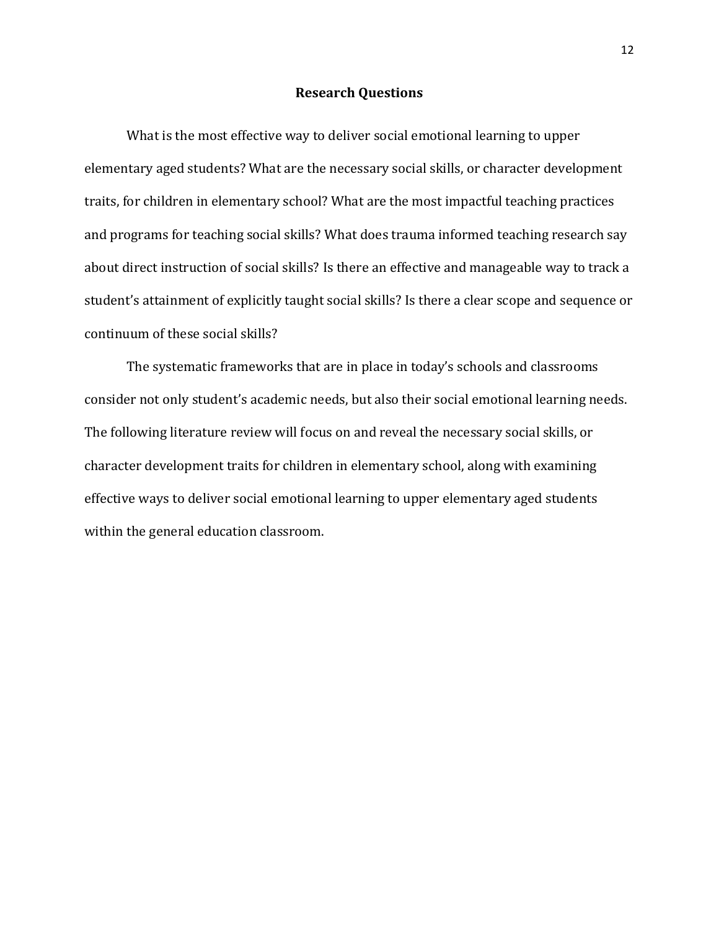#### **Research Questions**

What is the most effective way to deliver social emotional learning to upper elementary aged students? What are the necessary social skills, or character development traits, for children in elementary school? What are the most impactful teaching practices and programs for teaching social skills? What does trauma informed teaching research say about direct instruction of social skills? Is there an effective and manageable way to track a student's attainment of explicitly taught social skills? Is there a clear scope and sequence or continuum of these social skills?

The systematic frameworks that are in place in today's schools and classrooms consider not only student's academic needs, but also their social emotional learning needs. The following literature review will focus on and reveal the necessary social skills, or character development traits for children in elementary school, along with examining effective ways to deliver social emotional learning to upper elementary aged students within the general education classroom.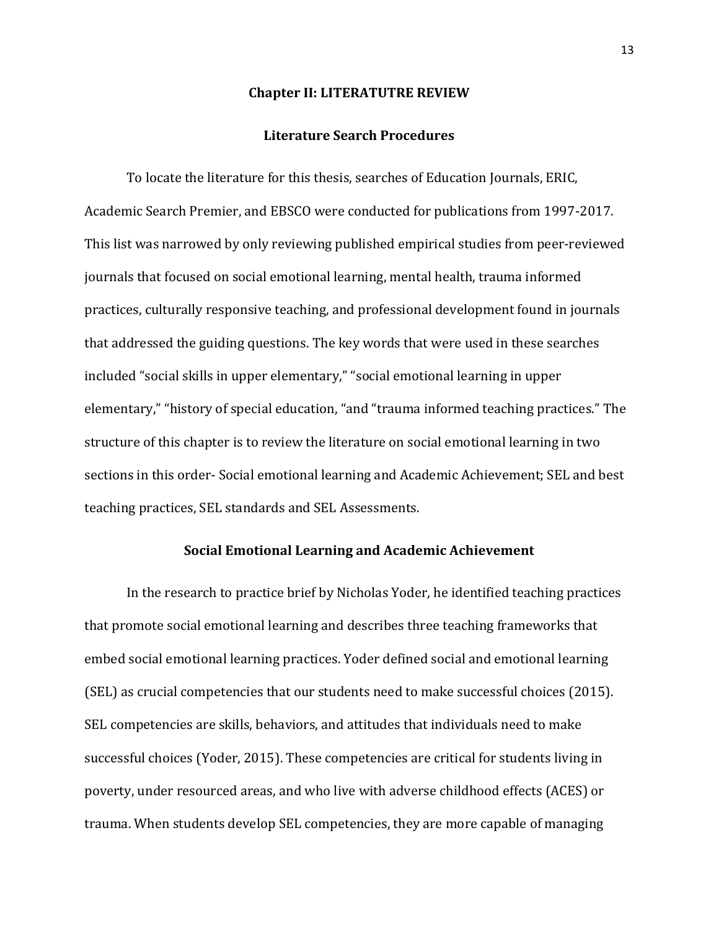#### **Chapter II: LITERATUTRE REVIEW**

#### **Literature Search Procedures**

To locate the literature for this thesis, searches of Education Journals, ERIC, Academic Search Premier, and EBSCO were conducted for publications from 1997-2017. This list was narrowed by only reviewing published empirical studies from peer-reviewed journals that focused on social emotional learning, mental health, trauma informed practices, culturally responsive teaching, and professional development found in journals that addressed the guiding questions. The key words that were used in these searches included "social skills in upper elementary," "social emotional learning in upper elementary," "history of special education, "and "trauma informed teaching practices." The structure of this chapter is to review the literature on social emotional learning in two sections in this order- Social emotional learning and Academic Achievement; SEL and best teaching practices, SEL standards and SEL Assessments.

#### **Social Emotional Learning and Academic Achievement**

In the research to practice brief by Nicholas Yoder, he identified teaching practices that promote social emotional learning and describes three teaching frameworks that embed social emotional learning practices. Yoder defined social and emotional learning (SEL) as crucial competencies that our students need to make successful choices (2015). SEL competencies are skills, behaviors, and attitudes that individuals need to make successful choices (Yoder, 2015). These competencies are critical for students living in poverty, under resourced areas, and who live with adverse childhood effects (ACES) or trauma. When students develop SEL competencies, they are more capable of managing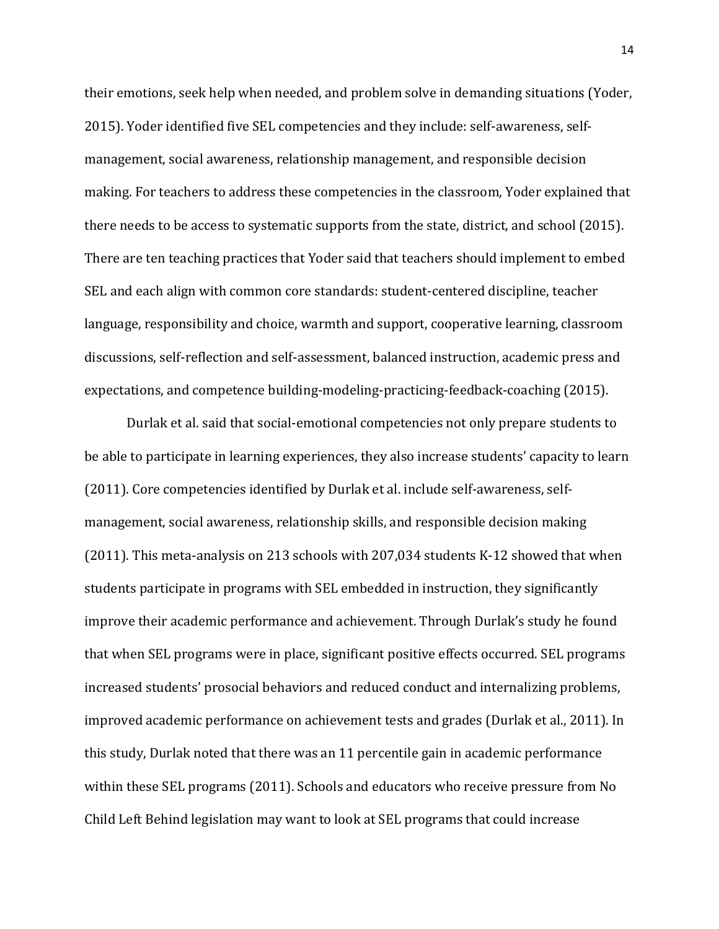their emotions, seek help when needed, and problem solve in demanding situations (Yoder, 2015). Yoder identified five SEL competencies and they include: self-awareness, selfmanagement, social awareness, relationship management, and responsible decision making. For teachers to address these competencies in the classroom, Yoder explained that there needs to be access to systematic supports from the state, district, and school (2015). There are ten teaching practices that Yoder said that teachers should implement to embed SEL and each align with common core standards: student-centered discipline, teacher language, responsibility and choice, warmth and support, cooperative learning, classroom discussions, self-reflection and self-assessment, balanced instruction, academic press and expectations, and competence building-modeling-practicing-feedback-coaching (2015).

Durlak et al. said that social-emotional competencies not only prepare students to be able to participate in learning experiences, they also increase students' capacity to learn (2011). Core competencies identified by Durlak et al. include self-awareness, selfmanagement, social awareness, relationship skills, and responsible decision making (2011). This meta-analysis on 213 schools with 207,034 students K-12 showed that when students participate in programs with SEL embedded in instruction, they significantly improve their academic performance and achievement. Through Durlak's study he found that when SEL programs were in place, significant positive effects occurred. SEL programs increased students' prosocial behaviors and reduced conduct and internalizing problems, improved academic performance on achievement tests and grades (Durlak et al., 2011). In this study, Durlak noted that there was an 11 percentile gain in academic performance within these SEL programs (2011). Schools and educators who receive pressure from No Child Left Behind legislation may want to look at SEL programs that could increase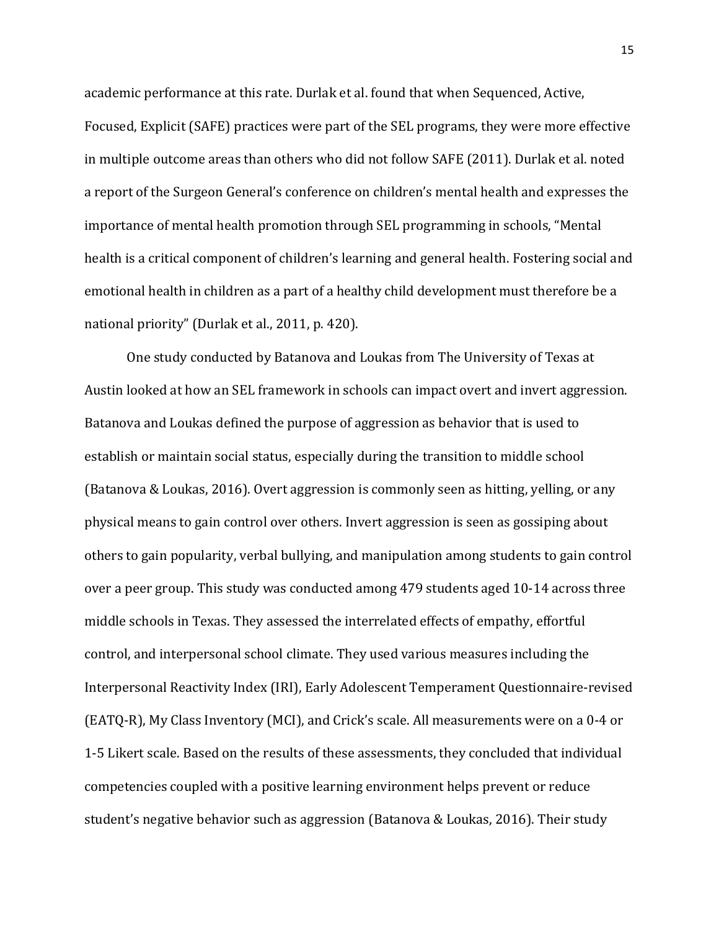academic performance at this rate. Durlak et al. found that when Sequenced, Active, Focused, Explicit (SAFE) practices were part of the SEL programs, they were more effective in multiple outcome areas than others who did not follow SAFE (2011). Durlak et al. noted a report of the Surgeon General's conference on children's mental health and expresses the importance of mental health promotion through SEL programming in schools, "Mental health is a critical component of children's learning and general health. Fostering social and emotional health in children as a part of a healthy child development must therefore be a national priority" (Durlak et al., 2011, p. 420).

One study conducted by Batanova and Loukas from The University of Texas at Austin looked at how an SEL framework in schools can impact overt and invert aggression. Batanova and Loukas defined the purpose of aggression as behavior that is used to establish or maintain social status, especially during the transition to middle school (Batanova & Loukas, 2016). Overt aggression is commonly seen as hitting, yelling, or any physical means to gain control over others. Invert aggression is seen as gossiping about others to gain popularity, verbal bullying, and manipulation among students to gain control over a peer group. This study was conducted among 479 students aged 10-14 across three middle schools in Texas. They assessed the interrelated effects of empathy, effortful control, and interpersonal school climate. They used various measures including the Interpersonal Reactivity Index (IRI), Early Adolescent Temperament Questionnaire-revised (EATQ-R), My Class Inventory (MCI), and Crick's scale. All measurements were on a 0-4 or 1-5 Likert scale. Based on the results of these assessments, they concluded that individual competencies coupled with a positive learning environment helps prevent or reduce student's negative behavior such as aggression (Batanova & Loukas, 2016). Their study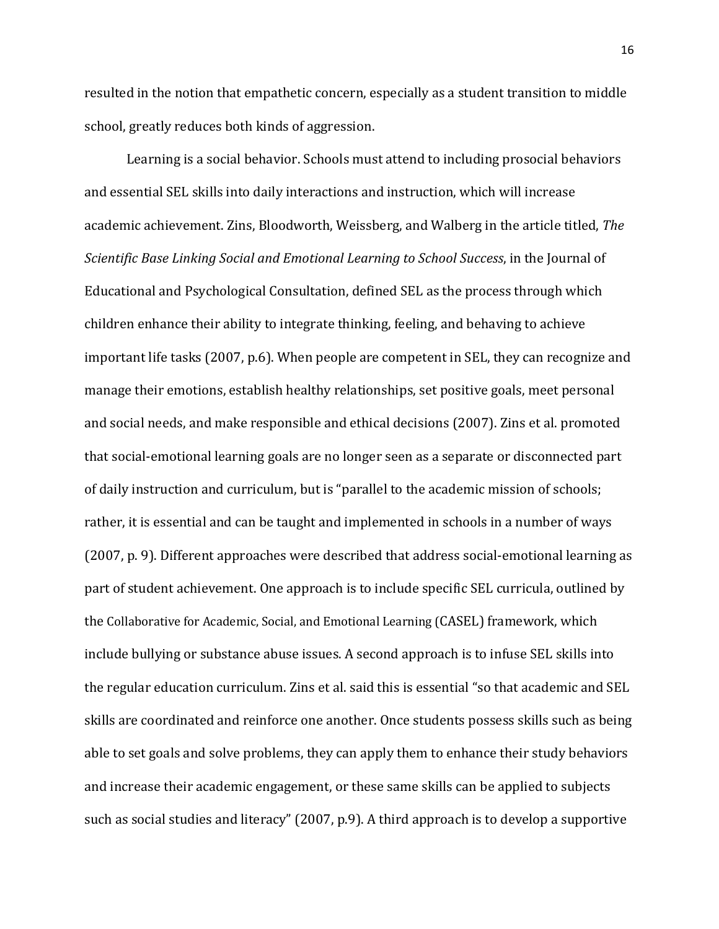resulted in the notion that empathetic concern, especially as a student transition to middle school, greatly reduces both kinds of aggression.

Learning is a social behavior. Schools must attend to including prosocial behaviors and essential SEL skills into daily interactions and instruction, which will increase academic achievement. Zins, Bloodworth, Weissberg, and Walberg in the article titled, *The Scientific Base Linking Social and Emotional Learning to School Success*, in the Journal of Educational and Psychological Consultation, defined SEL as the process through which children enhance their ability to integrate thinking, feeling, and behaving to achieve important life tasks (2007, p.6). When people are competent in SEL, they can recognize and manage their emotions, establish healthy relationships, set positive goals, meet personal and social needs, and make responsible and ethical decisions (2007). Zins et al. promoted that social-emotional learning goals are no longer seen as a separate or disconnected part of daily instruction and curriculum, but is "parallel to the academic mission of schools; rather, it is essential and can be taught and implemented in schools in a number of ways (2007, p. 9). Different approaches were described that address social-emotional learning as part of student achievement. One approach is to include specific SEL curricula, outlined by the Collaborative for Academic, Social, and Emotional Learning (CASEL) framework, which include bullying or substance abuse issues. A second approach is to infuse SEL skills into the regular education curriculum. Zins et al. said this is essential "so that academic and SEL skills are coordinated and reinforce one another. Once students possess skills such as being able to set goals and solve problems, they can apply them to enhance their study behaviors and increase their academic engagement, or these same skills can be applied to subjects such as social studies and literacy" (2007, p.9). A third approach is to develop a supportive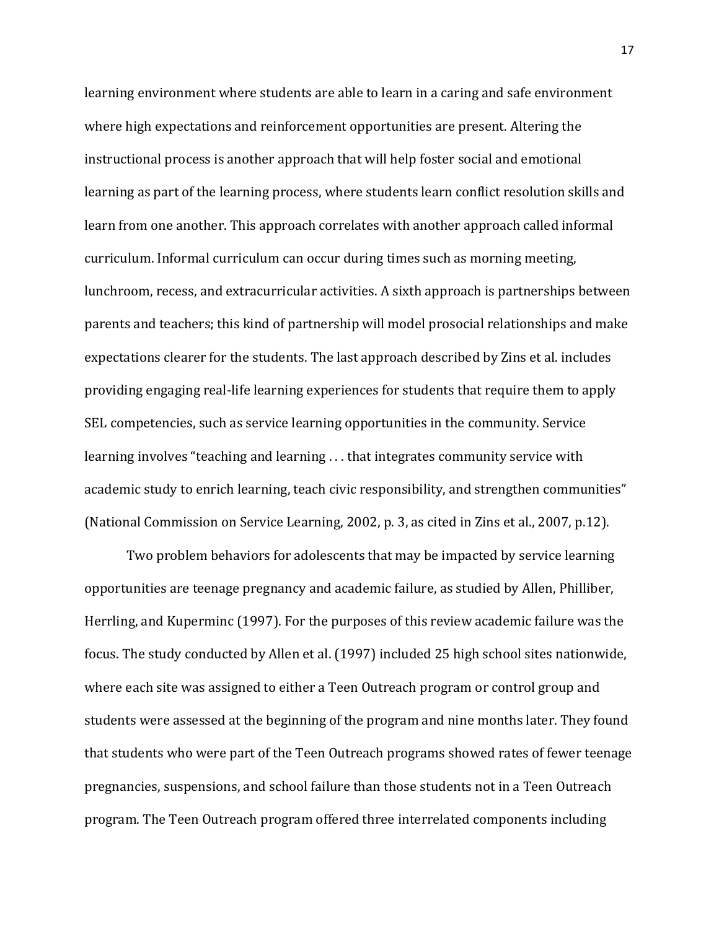learning environment where students are able to learn in a caring and safe environment where high expectations and reinforcement opportunities are present. Altering the instructional process is another approach that will help foster social and emotional learning as part of the learning process, where students learn conflict resolution skills and learn from one another. This approach correlates with another approach called informal curriculum. Informal curriculum can occur during times such as morning meeting, lunchroom, recess, and extracurricular activities. A sixth approach is partnerships between parents and teachers; this kind of partnership will model prosocial relationships and make expectations clearer for the students. The last approach described by Zins et al. includes providing engaging real-life learning experiences for students that require them to apply SEL competencies, such as service learning opportunities in the community. Service learning involves "teaching and learning . . . that integrates community service with academic study to enrich learning, teach civic responsibility, and strengthen communities" (National Commission on Service Learning, 2002, p. 3, as cited in Zins et al., 2007, p.12).

Two problem behaviors for adolescents that may be impacted by service learning opportunities are teenage pregnancy and academic failure, as studied by Allen, Philliber, Herrling, and Kuperminc (1997). For the purposes of this review academic failure was the focus. The study conducted by Allen et al. (1997) included 25 high school sites nationwide, where each site was assigned to either a Teen Outreach program or control group and students were assessed at the beginning of the program and nine months later. They found that students who were part of the Teen Outreach programs showed rates of fewer teenage pregnancies, suspensions, and school failure than those students not in a Teen Outreach program. The Teen Outreach program offered three interrelated components including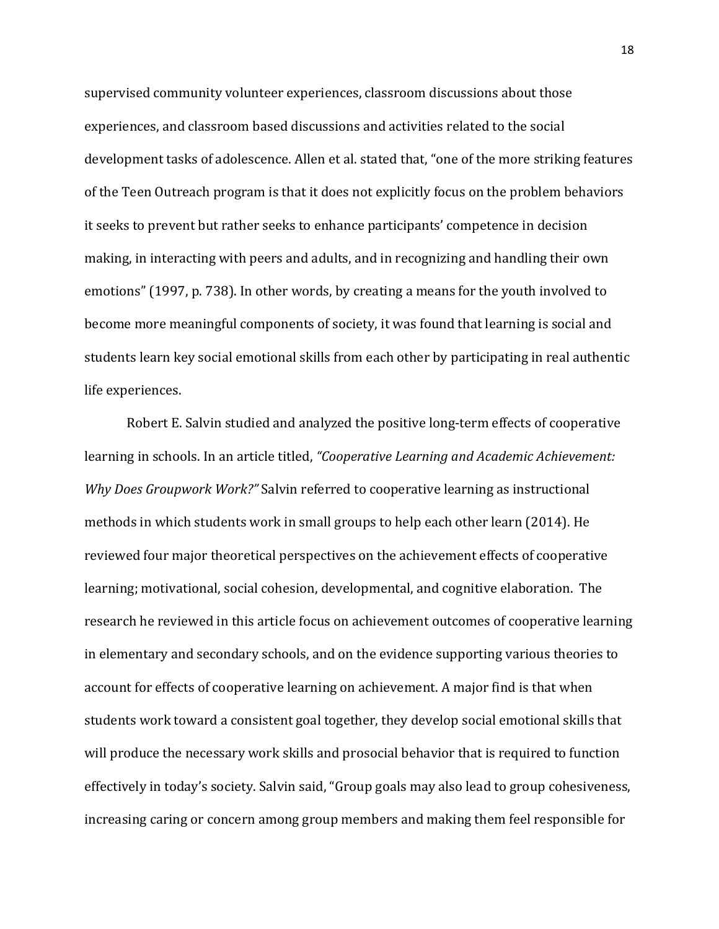supervised community volunteer experiences, classroom discussions about those experiences, and classroom based discussions and activities related to the social development tasks of adolescence. Allen et al. stated that, "one of the more striking features of the Teen Outreach program is that it does not explicitly focus on the problem behaviors it seeks to prevent but rather seeks to enhance participants' competence in decision making, in interacting with peers and adults, and in recognizing and handling their own emotions" (1997, p. 738). In other words, by creating a means for the youth involved to become more meaningful components of society, it was found that learning is social and students learn key social emotional skills from each other by participating in real authentic life experiences.

Robert E. Salvin studied and analyzed the positive long-term effects of cooperative learning in schools. In an article titled, *"Cooperative Learning and Academic Achievement: Why Does Groupwork Work?"* Salvin referred to cooperative learning as instructional methods in which students work in small groups to help each other learn (2014). He reviewed four major theoretical perspectives on the achievement effects of cooperative learning; motivational, social cohesion, developmental, and cognitive elaboration. The research he reviewed in this article focus on achievement outcomes of cooperative learning in elementary and secondary schools, and on the evidence supporting various theories to account for effects of cooperative learning on achievement. A major find is that when students work toward a consistent goal together, they develop social emotional skills that will produce the necessary work skills and prosocial behavior that is required to function effectively in today's society. Salvin said, "Group goals may also lead to group cohesiveness, increasing caring or concern among group members and making them feel responsible for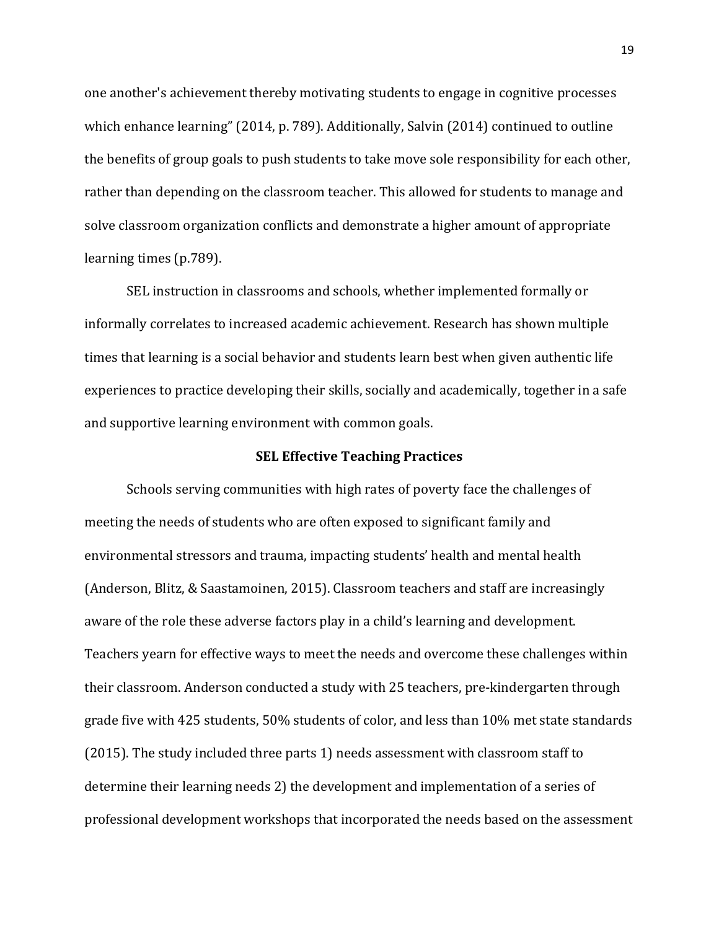one another's achievement thereby motivating students to engage in cognitive processes which enhance learning" (2014, p. 789). Additionally, Salvin (2014) continued to outline the benefits of group goals to push students to take move sole responsibility for each other, rather than depending on the classroom teacher. This allowed for students to manage and solve classroom organization conflicts and demonstrate a higher amount of appropriate learning times (p.789).

SEL instruction in classrooms and schools, whether implemented formally or informally correlates to increased academic achievement. Research has shown multiple times that learning is a social behavior and students learn best when given authentic life experiences to practice developing their skills, socially and academically, together in a safe and supportive learning environment with common goals.

#### **SEL Effective Teaching Practices**

Schools serving communities with high rates of poverty face the challenges of meeting the needs of students who are often exposed to significant family and environmental stressors and trauma, impacting students' health and mental health (Anderson, Blitz, & Saastamoinen, 2015). Classroom teachers and staff are increasingly aware of the role these adverse factors play in a child's learning and development. Teachers yearn for effective ways to meet the needs and overcome these challenges within their classroom. Anderson conducted a study with 25 teachers, pre-kindergarten through grade five with 425 students, 50% students of color, and less than 10% met state standards (2015). The study included three parts 1) needs assessment with classroom staff to determine their learning needs 2) the development and implementation of a series of professional development workshops that incorporated the needs based on the assessment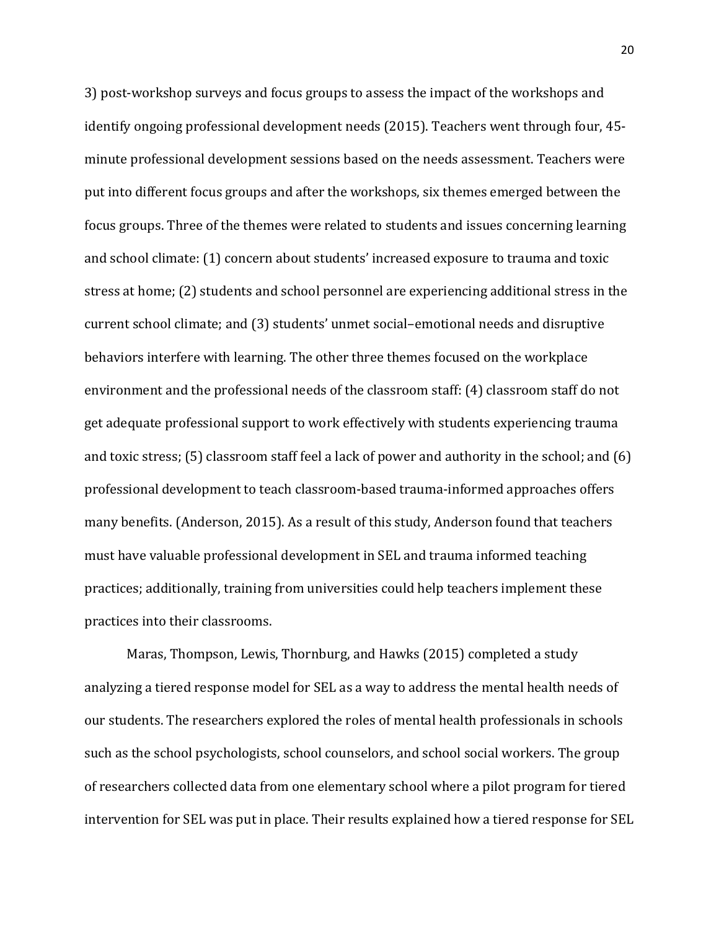3) post-workshop surveys and focus groups to assess the impact of the workshops and identify ongoing professional development needs (2015). Teachers went through four, 45 minute professional development sessions based on the needs assessment. Teachers were put into different focus groups and after the workshops, six themes emerged between the focus groups. Three of the themes were related to students and issues concerning learning and school climate: (1) concern about students' increased exposure to trauma and toxic stress at home; (2) students and school personnel are experiencing additional stress in the current school climate; and (3) students' unmet social–emotional needs and disruptive behaviors interfere with learning. The other three themes focused on the workplace environment and the professional needs of the classroom staff: (4) classroom staff do not get adequate professional support to work effectively with students experiencing trauma and toxic stress; (5) classroom staff feel a lack of power and authority in the school; and (6) professional development to teach classroom-based trauma-informed approaches offers many benefits. (Anderson, 2015). As a result of this study, Anderson found that teachers must have valuable professional development in SEL and trauma informed teaching practices; additionally, training from universities could help teachers implement these practices into their classrooms.

Maras, Thompson, Lewis, Thornburg, and Hawks (2015) completed a study analyzing a tiered response model for SEL as a way to address the mental health needs of our students. The researchers explored the roles of mental health professionals in schools such as the school psychologists, school counselors, and school social workers. The group of researchers collected data from one elementary school where a pilot program for tiered intervention for SEL was put in place. Their results explained how a tiered response for SEL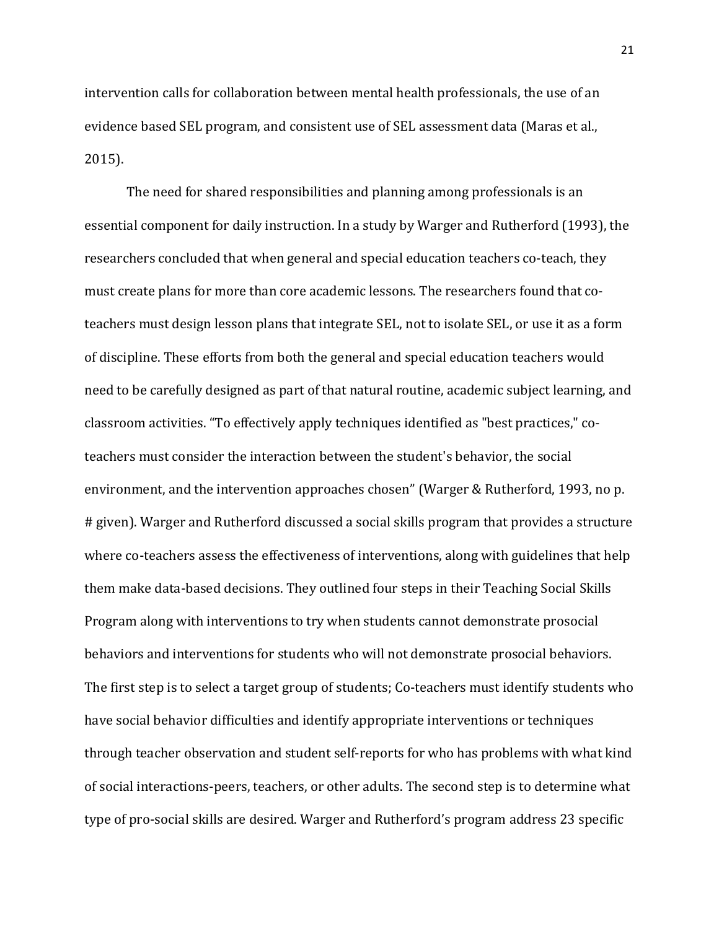intervention calls for collaboration between mental health professionals, the use of an evidence based SEL program, and consistent use of SEL assessment data (Maras et al., 2015).

The need for shared responsibilities and planning among professionals is an essential component for daily instruction. In a study by Warger and Rutherford (1993), the researchers concluded that when general and special education teachers co-teach, they must create plans for more than core academic lessons. The researchers found that coteachers must design lesson plans that integrate SEL, not to isolate SEL, or use it as a form of discipline. These efforts from both the general and special education teachers would need to be carefully designed as part of that natural routine, academic subject learning, and classroom activities. "To effectively apply techniques identified as "best practices," coteachers must consider the interaction between the student's behavior, the social environment, and the intervention approaches chosen" (Warger & Rutherford, 1993, no p. # given). Warger and Rutherford discussed a social skills program that provides a structure where co-teachers assess the effectiveness of interventions, along with guidelines that help them make data-based decisions. They outlined four steps in their Teaching Social Skills Program along with interventions to try when students cannot demonstrate prosocial behaviors and interventions for students who will not demonstrate prosocial behaviors. The first step is to select a target group of students; Co-teachers must identify students who have social behavior difficulties and identify appropriate interventions or techniques through teacher observation and student self-reports for who has problems with what kind of social interactions-peers, teachers, or other adults. The second step is to determine what type of pro-social skills are desired. Warger and Rutherford's program address 23 specific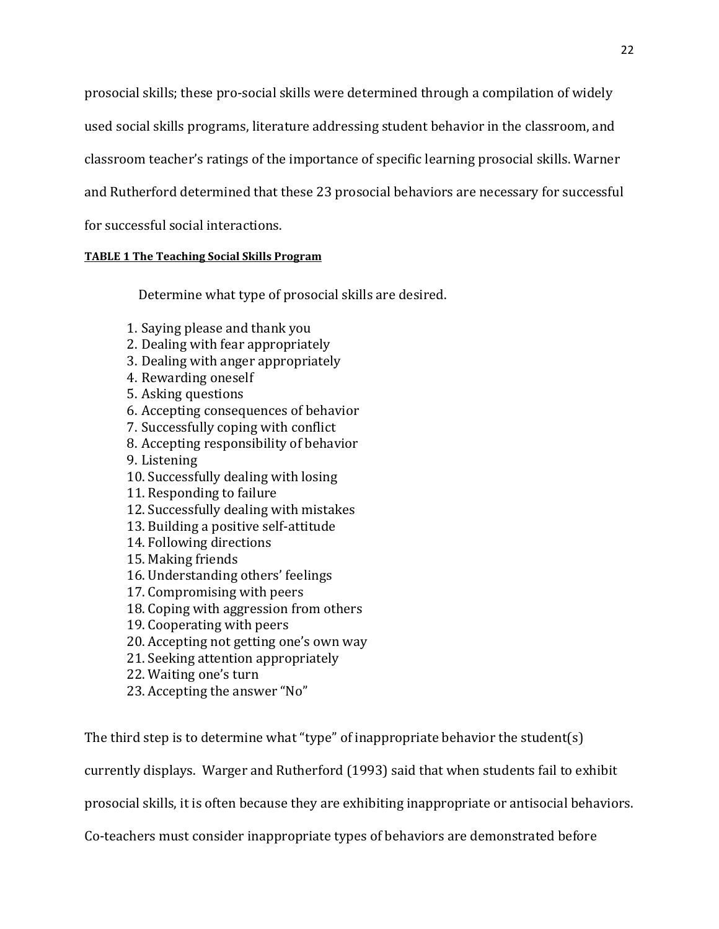prosocial skills; these pro-social skills were determined through a compilation of widely used social skills programs, literature addressing student behavior in the classroom, and classroom teacher's ratings of the importance of specific learning prosocial skills. Warner and Rutherford determined that these 23 prosocial behaviors are necessary for successful for successful social interactions.

#### **[TABLE 1 The Teaching](https://web-b-ebscohost-com.ezproxy.bethel.edu/ehost/detail/detail?vid=0&sid=e16791ba-0d0a-4862-b7f3-8933a8f24545%40sessionmgr120&bdata=JnNpdGU9ZWhvc3QtbGl2ZSZzY29wZT1zaXRl#toc) Social Skills Program**

Determine what type of prosocial skills are desired.

- 1. Saying please and thank you
- 2. Dealing with fear appropriately
- 3. Dealing with anger appropriately
- 4. Rewarding oneself
- 5. Asking questions
- 6. Accepting consequences of behavior
- 7. Successfully coping with conflict
- 8. Accepting responsibility of behavior
- 9. Listening
- 10. Successfully dealing with losing
- 11. Responding to failure
- 12. Successfully dealing with mistakes
- 13. Building a positive self-attitude
- 14. Following directions
- 15. Making friends
- 16. Understanding others' feelings
- 17. Compromising with peers
- 18. Coping with aggression from others
- 19. Cooperating with peers
- 20. Accepting not getting one's own way
- 21. Seeking attention appropriately
- 22. Waiting one's turn
- 23. Accepting the answer "No"

The third step is to determine what "type" of inappropriate behavior the student(s)

currently displays. Warger and Rutherford (1993) said that when students fail to exhibit

prosocial skills, it is often because they are exhibiting inappropriate or antisocial behaviors.

Co-teachers must consider inappropriate types of behaviors are demonstrated before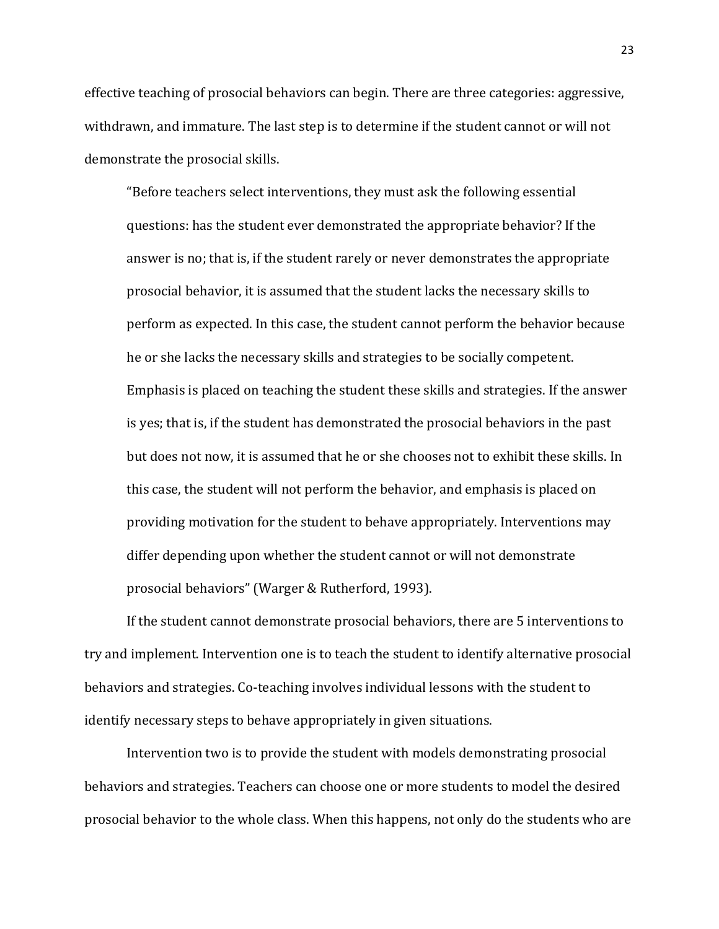effective teaching of prosocial behaviors can begin. There are three categories: aggressive, withdrawn, and immature. The last step is to determine if the student cannot or will not demonstrate the prosocial skills.

"Before teachers select interventions, they must ask the following essential questions: has the student ever demonstrated the appropriate behavior? If the answer is no; that is, if the student rarely or never demonstrates the appropriate prosocial behavior, it is assumed that the student lacks the necessary skills to perform as expected. In this case, the student cannot perform the behavior because he or she lacks the necessary skills and strategies to be socially competent. Emphasis is placed on teaching the student these skills and strategies. If the answer is yes; that is, if the student has demonstrated the prosocial behaviors in the past but does not now, it is assumed that he or she chooses not to exhibit these skills. In this case, the student will not perform the behavior, and emphasis is placed on providing motivation for the student to behave appropriately. Interventions may differ depending upon whether the student cannot or will not demonstrate prosocial behaviors" (Warger & Rutherford, 1993).

If the student cannot demonstrate prosocial behaviors, there are 5 interventions to try and implement. Intervention one is to teach the student to identify alternative prosocial behaviors and strategies. Co-teaching involves individual lessons with the student to identify necessary steps to behave appropriately in given situations.

Intervention two is to provide the student with models demonstrating prosocial behaviors and strategies. Teachers can choose one or more students to model the desired prosocial behavior to the whole class. When this happens, not only do the students who are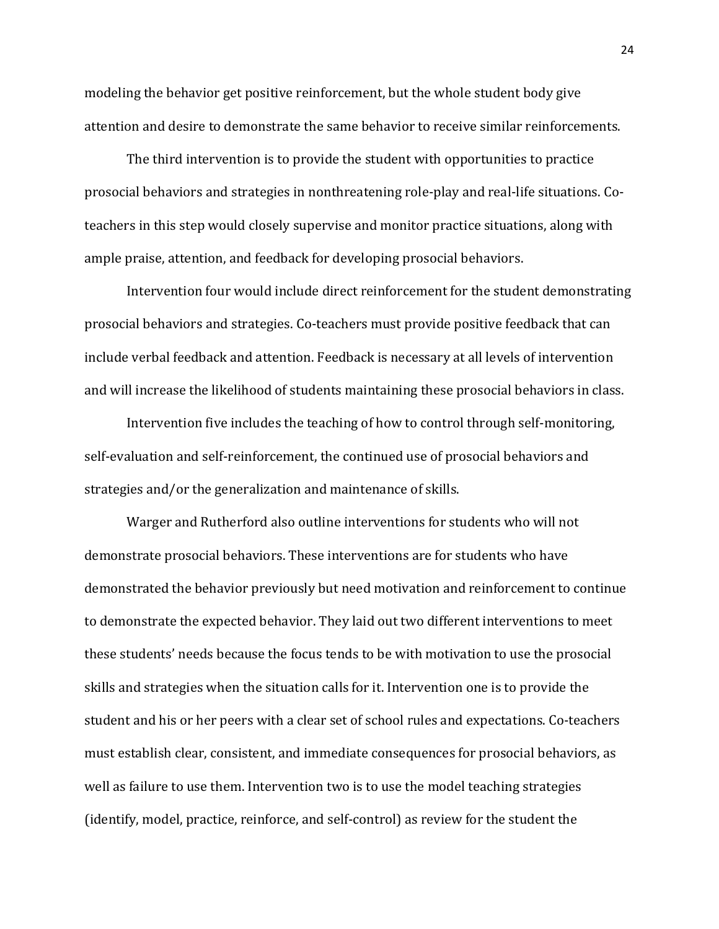modeling the behavior get positive reinforcement, but the whole student body give attention and desire to demonstrate the same behavior to receive similar reinforcements.

The third intervention is to provide the student with opportunities to practice prosocial behaviors and strategies in nonthreatening role-play and real-life situations. Coteachers in this step would closely supervise and monitor practice situations, along with ample praise, attention, and feedback for developing prosocial behaviors.

Intervention four would include direct reinforcement for the student demonstrating prosocial behaviors and strategies. Co-teachers must provide positive feedback that can include verbal feedback and attention. Feedback is necessary at all levels of intervention and will increase the likelihood of students maintaining these prosocial behaviors in class.

Intervention five includes the teaching of how to control through self-monitoring, self-evaluation and self-reinforcement, the continued use of prosocial behaviors and strategies and/or the generalization and maintenance of skills.

Warger and Rutherford also outline interventions for students who will not demonstrate prosocial behaviors. These interventions are for students who have demonstrated the behavior previously but need motivation and reinforcement to continue to demonstrate the expected behavior. They laid out two different interventions to meet these students' needs because the focus tends to be with motivation to use the prosocial skills and strategies when the situation calls for it. Intervention one is to provide the student and his or her peers with a clear set of school rules and expectations. Co-teachers must establish clear, consistent, and immediate consequences for prosocial behaviors, as well as failure to use them. Intervention two is to use the model teaching strategies (identify, model, practice, reinforce, and self-control) as review for the student the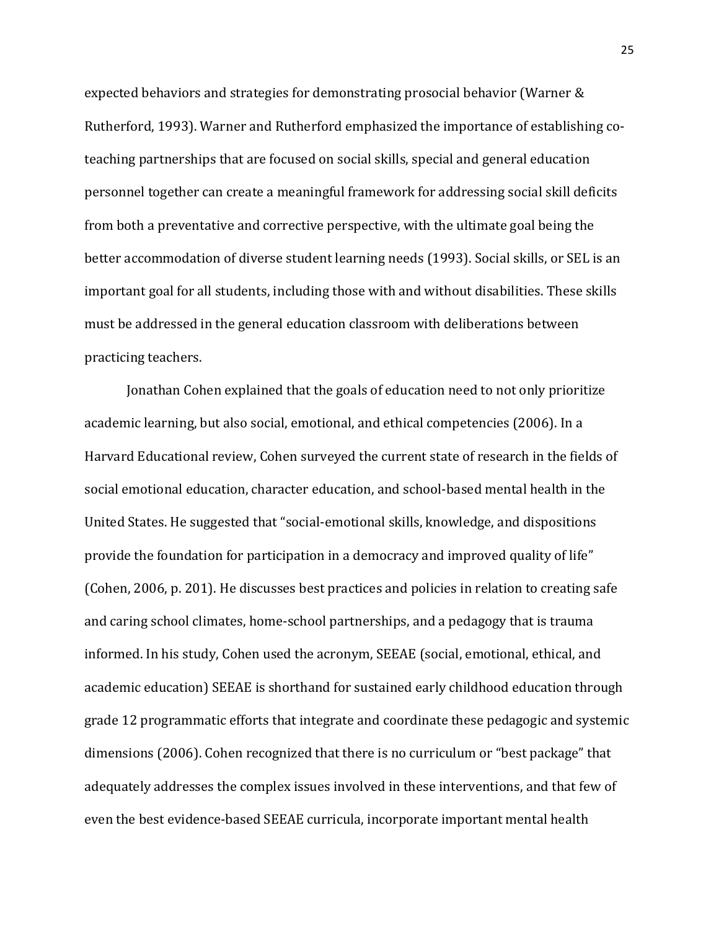expected behaviors and strategies for demonstrating prosocial behavior (Warner & Rutherford, 1993). Warner and Rutherford emphasized the importance of establishing coteaching partnerships that are focused on social skills, special and general education personnel together can create a meaningful framework for addressing social skill deficits from both a preventative and corrective perspective, with the ultimate goal being the better accommodation of diverse student learning needs (1993). Social skills, or SEL is an important goal for all students, including those with and without disabilities. These skills must be addressed in the general education classroom with deliberations between practicing teachers.

Jonathan Cohen explained that the goals of education need to not only prioritize academic learning, but also social, emotional, and ethical competencies (2006). In a Harvard Educational review, Cohen surveyed the current state of research in the fields of social emotional education, character education, and school-based mental health in the United States. He suggested that "social-emotional skills, knowledge, and dispositions provide the foundation for participation in a democracy and improved quality of life" (Cohen, 2006, p. 201). He discusses best practices and policies in relation to creating safe and caring school climates, home-school partnerships, and a pedagogy that is trauma informed. In his study, Cohen used the acronym, SEEAE (social, emotional, ethical, and academic education) SEEAE is shorthand for sustained early childhood education through grade 12 programmatic efforts that integrate and coordinate these pedagogic and systemic dimensions (2006). Cohen recognized that there is no curriculum or "best package" that adequately addresses the complex issues involved in these interventions, and that few of even the best evidence-based SEEAE curricula, incorporate important mental health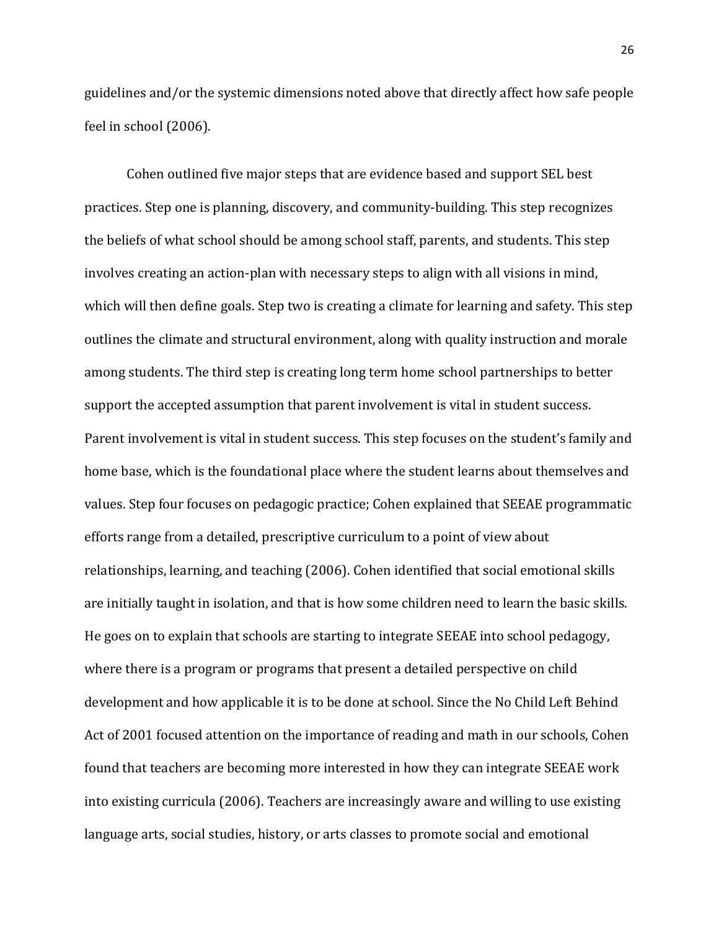guidelines and/or the systemic dimensions noted above that directly affect how safe people feel in school (2006).

Cohen outlined five major steps that are evidence based and support SEL best practices. Step one is planning, discovery, and community-building. This step recognizes the beliefs of what school should be among school staff, parents, and students. This step involves creating an action-plan with necessary steps to align with all visions in mind, which will then define goals. Step two is creating a climate for learning and safety. This step outlines the climate and structural environment, along with quality instruction and morale among students. The third step is creating long term home school partnerships to better support the accepted assumption that parent involvement is vital in student success. Parent involvement is vital in student success. This step focuses on the student's family and home base, which is the foundational place where the student learns about themselves and values. Step four focuses on pedagogic practice; Cohen explained that SEEAE programmatic efforts range from a detailed, prescriptive curriculum to a point of view about relationships, learning, and teaching (2006). Cohen identified that social emotional skills are initially taught in isolation, and that is how some children need to learn the basic skills. He goes on to explain that schools are starting to integrate SEEAE into school pedagogy, where there is a program or programs that present a detailed perspective on child development and how applicable it is to be done at school. Since the No Child Left Behind Act of 2001 focused attention on the importance of reading and math in our schools, Cohen found that teachers are becoming more interested in how they can integrate SEEAE work into existing curricula (2006). Teachers are increasingly aware and willing to use existing language arts, social studies, history, or arts classes to promote social and emotional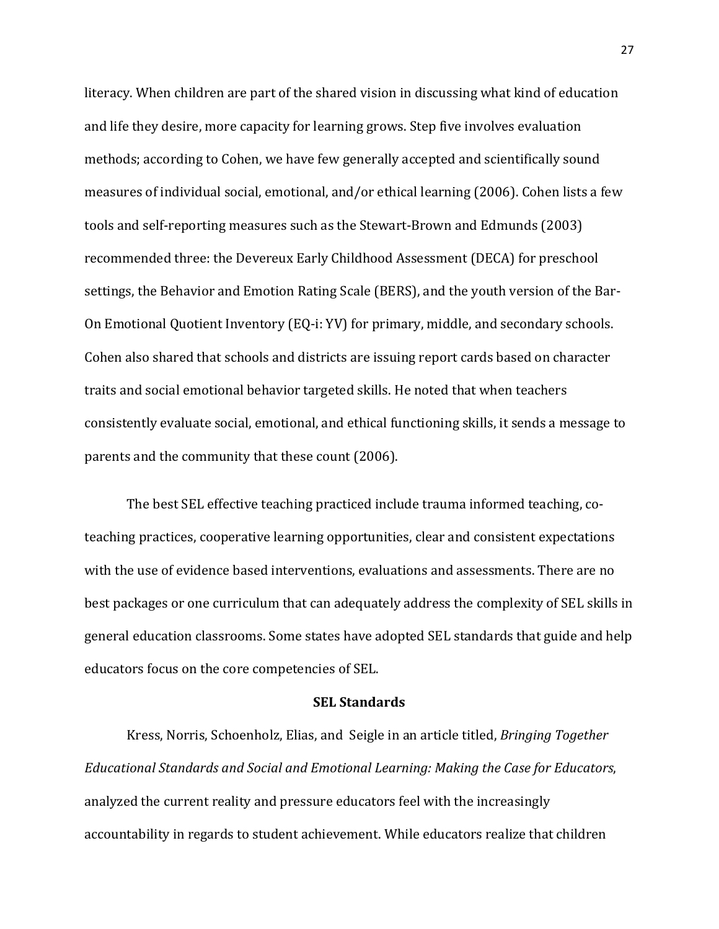literacy. When children are part of the shared vision in discussing what kind of education and life they desire, more capacity for learning grows. Step five involves evaluation methods; according to Cohen, we have few generally accepted and scientifically sound measures of individual social, emotional, and/or ethical learning (2006). Cohen lists a few tools and self-reporting measures such as the Stewart-Brown and Edmunds (2003) recommended three: the Devereux Early Childhood Assessment (DECA) for preschool settings, the Behavior and Emotion Rating Scale (BERS), and the youth version of the Bar-On Emotional Quotient Inventory (EQ-i: YV) for primary, middle, and secondary schools. Cohen also shared that schools and districts are issuing report cards based on character traits and social emotional behavior targeted skills. He noted that when teachers consistently evaluate social, emotional, and ethical functioning skills, it sends a message to parents and the community that these count (2006).

The best SEL effective teaching practiced include trauma informed teaching, coteaching practices, cooperative learning opportunities, clear and consistent expectations with the use of evidence based interventions, evaluations and assessments. There are no best packages or one curriculum that can adequately address the complexity of SEL skills in general education classrooms. Some states have adopted SEL standards that guide and help educators focus on the core competencies of SEL.

#### **SEL Standards**

Kress, Norris, Schoenholz, Elias, and Seigle in an article titled, *Bringing Together Educational Standards and Social and Emotional Learning: Making the Case for Educators*, analyzed the current reality and pressure educators feel with the increasingly accountability in regards to student achievement. While educators realize that children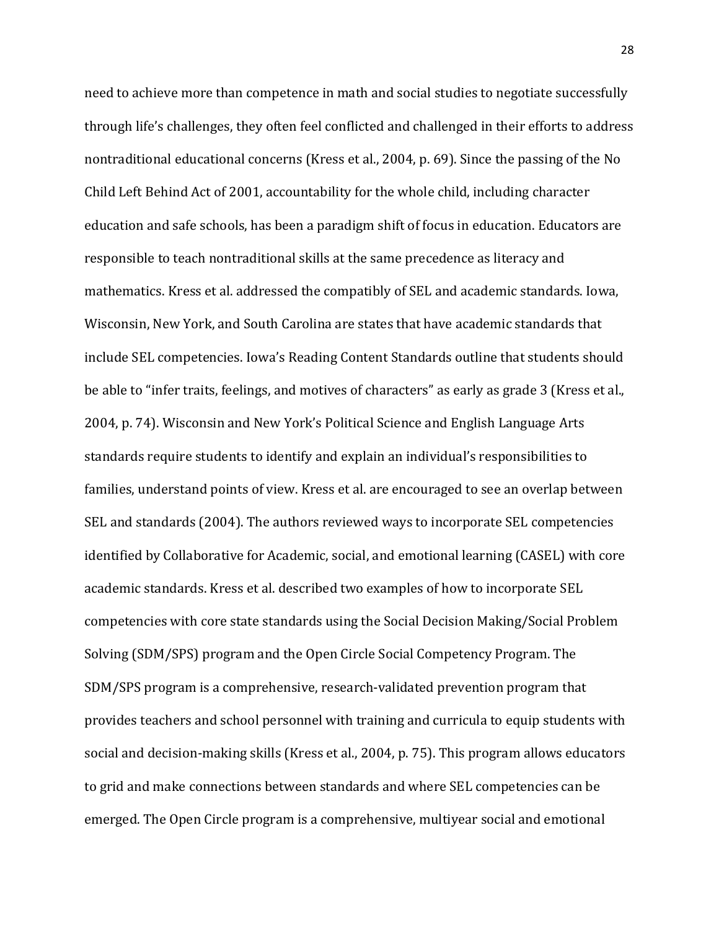need to achieve more than competence in math and social studies to negotiate successfully through life's challenges, they often feel conflicted and challenged in their efforts to address nontraditional educational concerns (Kress et al., 2004, p. 69). Since the passing of the No Child Left Behind Act of 2001, accountability for the whole child, including character education and safe schools, has been a paradigm shift of focus in education. Educators are responsible to teach nontraditional skills at the same precedence as literacy and mathematics. Kress et al. addressed the compatibly of SEL and academic standards. Iowa, Wisconsin, New York, and South Carolina are states that have academic standards that include SEL competencies. Iowa's Reading Content Standards outline that students should be able to "infer traits, feelings, and motives of characters" as early as grade 3 (Kress et al., 2004, p. 74). Wisconsin and New York's Political Science and English Language Arts standards require students to identify and explain an individual's responsibilities to families, understand points of view. Kress et al. are encouraged to see an overlap between SEL and standards (2004). The authors reviewed ways to incorporate SEL competencies identified by Collaborative for Academic, social, and emotional learning (CASEL) with core academic standards. Kress et al. described two examples of how to incorporate SEL competencies with core state standards using the Social Decision Making/Social Problem Solving (SDM/SPS) program and the Open Circle Social Competency Program. The SDM/SPS program is a comprehensive, research-validated prevention program that provides teachers and school personnel with training and curricula to equip students with social and decision-making skills (Kress et al., 2004, p. 75). This program allows educators to grid and make connections between standards and where SEL competencies can be emerged. The Open Circle program is a comprehensive, multiyear social and emotional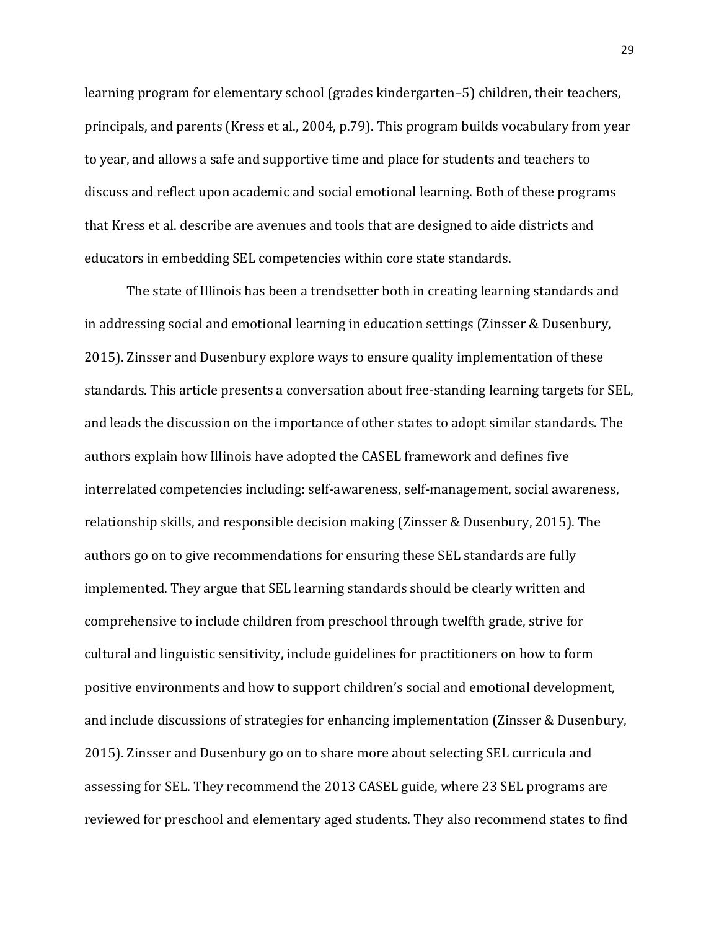learning program for elementary school (grades kindergarten–5) children, their teachers, principals, and parents (Kress et al., 2004, p.79). This program builds vocabulary from year to year, and allows a safe and supportive time and place for students and teachers to discuss and reflect upon academic and social emotional learning. Both of these programs that Kress et al. describe are avenues and tools that are designed to aide districts and educators in embedding SEL competencies within core state standards.

The state of Illinois has been a trendsetter both in creating learning standards and in addressing social and emotional learning in education settings (Zinsser & Dusenbury, 2015). Zinsser and Dusenbury explore ways to ensure quality implementation of these standards. This article presents a conversation about free-standing learning targets for SEL, and leads the discussion on the importance of other states to adopt similar standards. The authors explain how Illinois have adopted the CASEL framework and defines five interrelated competencies including: self-awareness, self-management, social awareness, relationship skills, and responsible decision making (Zinsser & Dusenbury, 2015). The authors go on to give recommendations for ensuring these SEL standards are fully implemented. They argue that SEL learning standards should be clearly written and comprehensive to include children from preschool through twelfth grade, strive for cultural and linguistic sensitivity, include guidelines for practitioners on how to form positive environments and how to support children's social and emotional development, and include discussions of strategies for enhancing implementation (Zinsser & Dusenbury, 2015). Zinsser and Dusenbury go on to share more about selecting SEL curricula and assessing for SEL. They recommend the 2013 CASEL guide, where 23 SEL programs are reviewed for preschool and elementary aged students. They also recommend states to find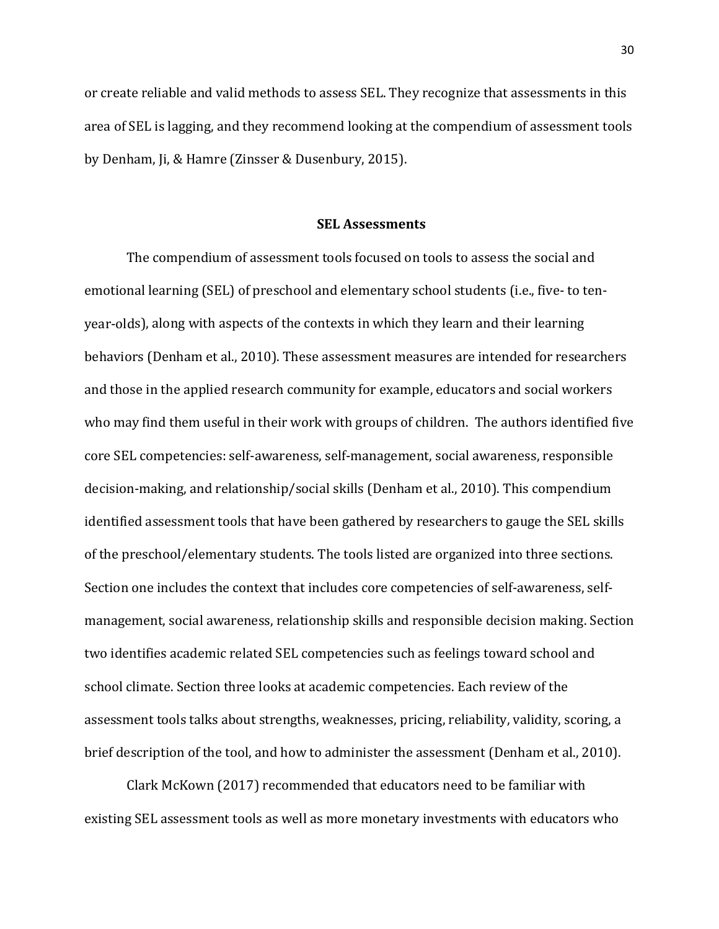or create reliable and valid methods to assess SEL. They recognize that assessments in this area of SEL is lagging, and they recommend looking at the compendium of assessment tools by Denham, Ji, & Hamre (Zinsser & Dusenbury, 2015).

#### **SEL Assessments**

The compendium of assessment tools focused on tools to assess the social and emotional learning (SEL) of preschool and elementary school students (i.e., five- to tenyear-olds), along with aspects of the contexts in which they learn and their learning behaviors (Denham et al., 2010). These assessment measures are intended for researchers and those in the applied research community for example, educators and social workers who may find them useful in their work with groups of children. The authors identified five core SEL competencies: self-awareness, self-management, social awareness, responsible decision-making, and relationship/social skills (Denham et al., 2010). This compendium identified assessment tools that have been gathered by researchers to gauge the SEL skills of the preschool/elementary students. The tools listed are organized into three sections. Section one includes the context that includes core competencies of self-awareness, selfmanagement, social awareness, relationship skills and responsible decision making. Section two identifies academic related SEL competencies such as feelings toward school and school climate. Section three looks at academic competencies. Each review of the assessment tools talks about strengths, weaknesses, pricing, reliability, validity, scoring, a brief description of the tool, and how to administer the assessment (Denham et al., 2010).

Clark McKown (2017) recommended that educators need to be familiar with existing SEL assessment tools as well as more monetary investments with educators who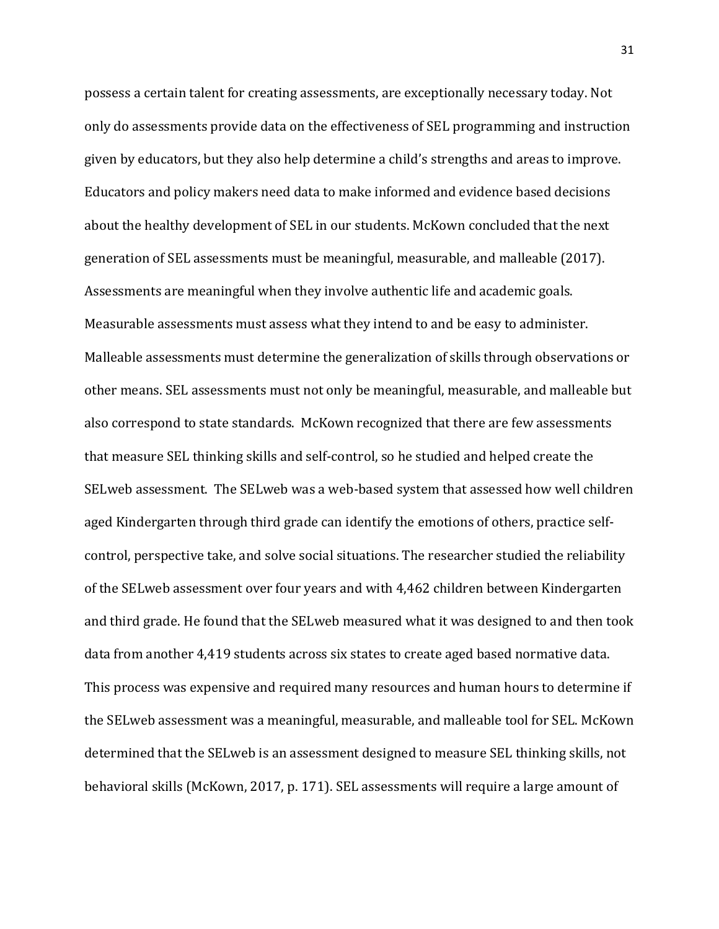possess a certain talent for creating assessments, are exceptionally necessary today. Not only do assessments provide data on the effectiveness of SEL programming and instruction given by educators, but they also help determine a child's strengths and areas to improve. Educators and policy makers need data to make informed and evidence based decisions about the healthy development of SEL in our students. McKown concluded that the next generation of SEL assessments must be meaningful, measurable, and malleable (2017). Assessments are meaningful when they involve authentic life and academic goals. Measurable assessments must assess what they intend to and be easy to administer. Malleable assessments must determine the generalization of skills through observations or other means. SEL assessments must not only be meaningful, measurable, and malleable but also correspond to state standards. McKown recognized that there are few assessments that measure SEL thinking skills and self-control, so he studied and helped create the SELweb assessment. The SELweb was a web-based system that assessed how well children aged Kindergarten through third grade can identify the emotions of others, practice selfcontrol, perspective take, and solve social situations. The researcher studied the reliability of the SELweb assessment over four years and with 4,462 children between Kindergarten and third grade. He found that the SELweb measured what it was designed to and then took data from another 4,419 students across six states to create aged based normative data. This process was expensive and required many resources and human hours to determine if the SELweb assessment was a meaningful, measurable, and malleable tool for SEL. McKown determined that the SELweb is an assessment designed to measure SEL thinking skills, not behavioral skills (McKown, 2017, p. 171). SEL assessments will require a large amount of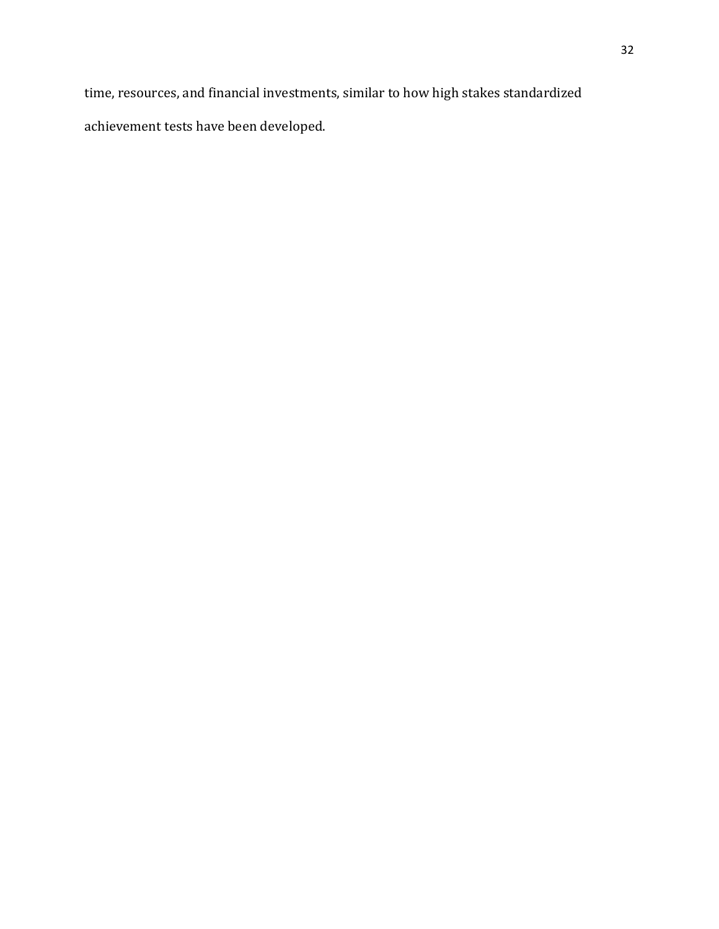time, resources, and financial investments, similar to how high stakes standardized achievement tests have been developed.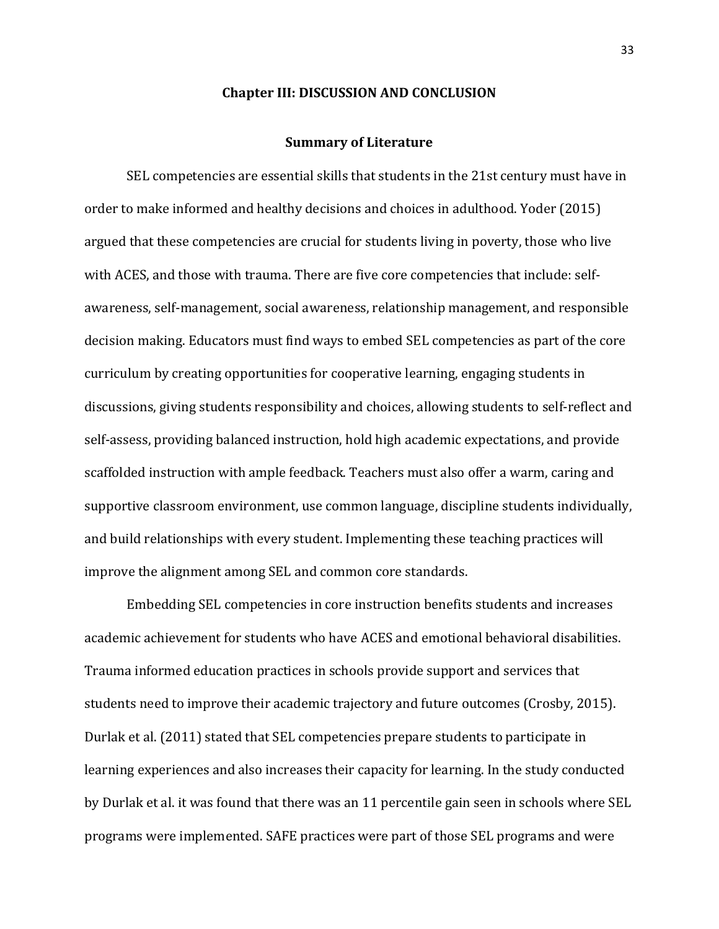#### **Chapter III: DISCUSSION AND CONCLUSION**

#### **Summary of Literature**

SEL competencies are essential skills that students in the 21st century must have in order to make informed and healthy decisions and choices in adulthood. Yoder (2015) argued that these competencies are crucial for students living in poverty, those who live with ACES, and those with trauma. There are five core competencies that include: selfawareness, self-management, social awareness, relationship management, and responsible decision making. Educators must find ways to embed SEL competencies as part of the core curriculum by creating opportunities for cooperative learning, engaging students in discussions, giving students responsibility and choices, allowing students to self-reflect and self-assess, providing balanced instruction, hold high academic expectations, and provide scaffolded instruction with ample feedback. Teachers must also offer a warm, caring and supportive classroom environment, use common language, discipline students individually, and build relationships with every student. Implementing these teaching practices will improve the alignment among SEL and common core standards.

Embedding SEL competencies in core instruction benefits students and increases academic achievement for students who have ACES and emotional behavioral disabilities. Trauma informed education practices in schools provide support and services that students need to improve their academic trajectory and future outcomes (Crosby, 2015). Durlak et al. (2011) stated that SEL competencies prepare students to participate in learning experiences and also increases their capacity for learning. In the study conducted by Durlak et al. it was found that there was an 11 percentile gain seen in schools where SEL programs were implemented. SAFE practices were part of those SEL programs and were

33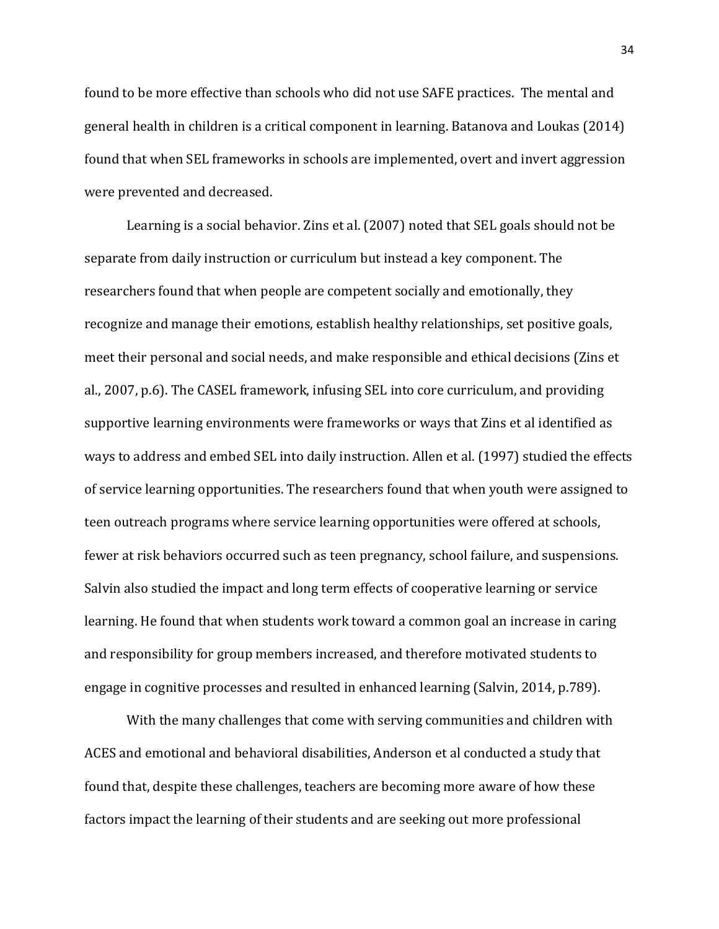found to be more effective than schools who did not use SAFE practices. The mental and general health in children is a critical component in learning. Batanova and Loukas (2014) found that when SEL frameworks in schools are implemented, overt and invert aggression were prevented and decreased.

Learning is a social behavior. Zins et al. (2007) noted that SEL goals should not be separate from daily instruction or curriculum but instead a key component. The researchers found that when people are competent socially and emotionally, they recognize and manage their emotions, establish healthy relationships, set positive goals, meet their personal and social needs, and make responsible and ethical decisions (Zins et al., 2007, p.6). The CASEL framework, infusing SEL into core curriculum, and providing supportive learning environments were frameworks or ways that Zins et al identified as ways to address and embed SEL into daily instruction. Allen et al. (1997) studied the effects of service learning opportunities. The researchers found that when youth were assigned to teen outreach programs where service learning opportunities were offered at schools, fewer at risk behaviors occurred such as teen pregnancy, school failure, and suspensions. Salvin also studied the impact and long term effects of cooperative learning or service learning. He found that when students work toward a common goal an increase in caring and responsibility for group members increased, and therefore motivated students to engage in cognitive processes and resulted in enhanced learning (Salvin, 2014, p.789).

With the many challenges that come with serving communities and children with ACES and emotional and behavioral disabilities, Anderson et al conducted a study that found that, despite these challenges, teachers are becoming more aware of how these factors impact the learning of their students and are seeking out more professional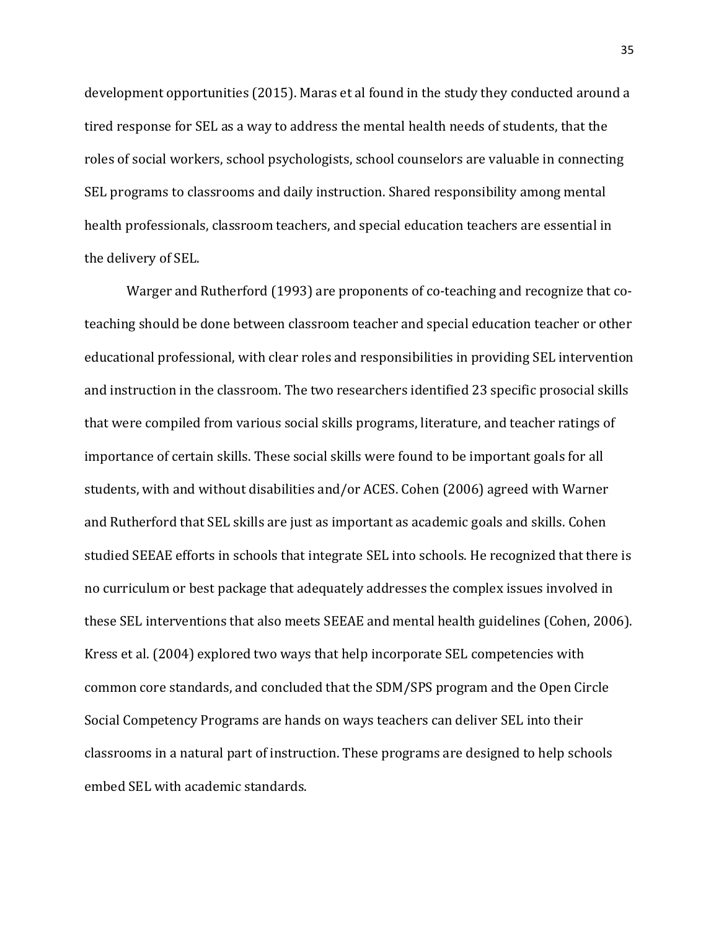development opportunities (2015). Maras et al found in the study they conducted around a tired response for SEL as a way to address the mental health needs of students, that the roles of social workers, school psychologists, school counselors are valuable in connecting SEL programs to classrooms and daily instruction. Shared responsibility among mental health professionals, classroom teachers, and special education teachers are essential in the delivery of SEL.

Warger and Rutherford (1993) are proponents of co-teaching and recognize that coteaching should be done between classroom teacher and special education teacher or other educational professional, with clear roles and responsibilities in providing SEL intervention and instruction in the classroom. The two researchers identified 23 specific prosocial skills that were compiled from various social skills programs, literature, and teacher ratings of importance of certain skills. These social skills were found to be important goals for all students, with and without disabilities and/or ACES. Cohen (2006) agreed with Warner and Rutherford that SEL skills are just as important as academic goals and skills. Cohen studied SEEAE efforts in schools that integrate SEL into schools. He recognized that there is no curriculum or best package that adequately addresses the complex issues involved in these SEL interventions that also meets SEEAE and mental health guidelines (Cohen, 2006). Kress et al. (2004) explored two ways that help incorporate SEL competencies with common core standards, and concluded that the SDM/SPS program and the Open Circle Social Competency Programs are hands on ways teachers can deliver SEL into their classrooms in a natural part of instruction. These programs are designed to help schools embed SEL with academic standards.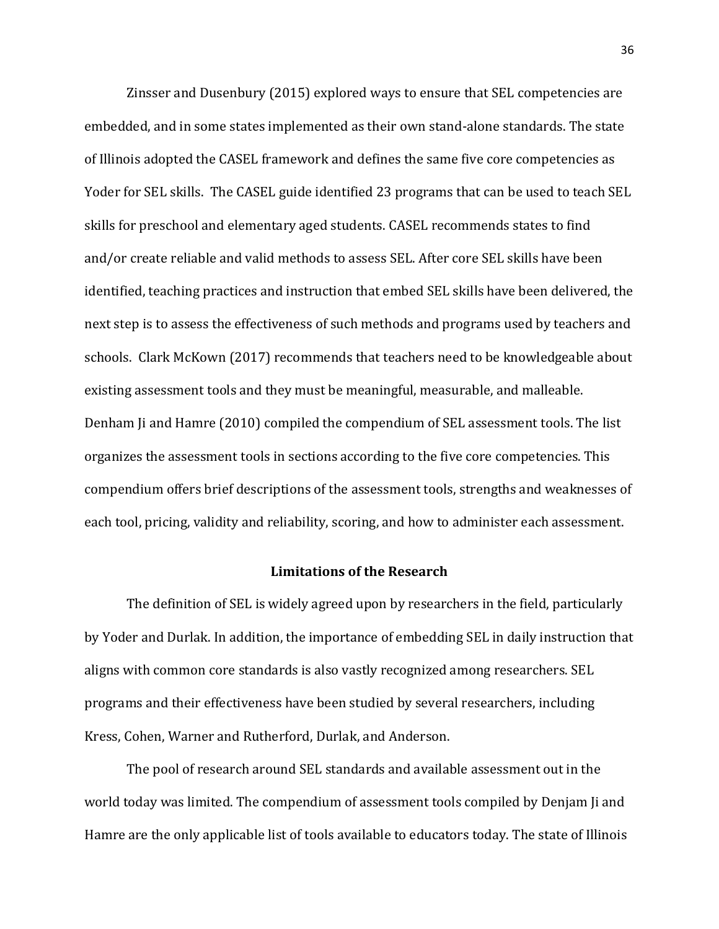Zinsser and Dusenbury (2015) explored ways to ensure that SEL competencies are embedded, and in some states implemented as their own stand-alone standards. The state of Illinois adopted the CASEL framework and defines the same five core competencies as Yoder for SEL skills. The CASEL guide identified 23 programs that can be used to teach SEL skills for preschool and elementary aged students. CASEL recommends states to find and/or create reliable and valid methods to assess SEL. After core SEL skills have been identified, teaching practices and instruction that embed SEL skills have been delivered, the next step is to assess the effectiveness of such methods and programs used by teachers and schools. Clark McKown (2017) recommends that teachers need to be knowledgeable about existing assessment tools and they must be meaningful, measurable, and malleable. Denham Ji and Hamre (2010) compiled the compendium of SEL assessment tools. The list organizes the assessment tools in sections according to the five core competencies. This compendium offers brief descriptions of the assessment tools, strengths and weaknesses of each tool, pricing, validity and reliability, scoring, and how to administer each assessment.

#### **Limitations of the Research**

The definition of SEL is widely agreed upon by researchers in the field, particularly by Yoder and Durlak. In addition, the importance of embedding SEL in daily instruction that aligns with common core standards is also vastly recognized among researchers. SEL programs and their effectiveness have been studied by several researchers, including Kress, Cohen, Warner and Rutherford, Durlak, and Anderson.

The pool of research around SEL standards and available assessment out in the world today was limited. The compendium of assessment tools compiled by Denjam Ji and Hamre are the only applicable list of tools available to educators today. The state of Illinois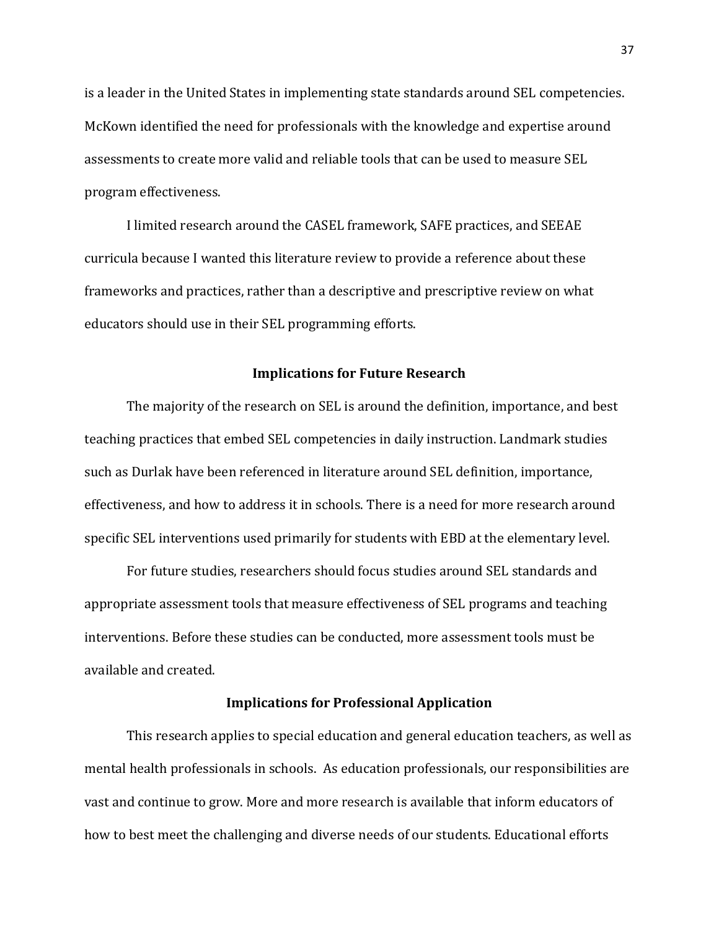is a leader in the United States in implementing state standards around SEL competencies. McKown identified the need for professionals with the knowledge and expertise around assessments to create more valid and reliable tools that can be used to measure SEL program effectiveness.

I limited research around the CASEL framework, SAFE practices, and SEEAE curricula because I wanted this literature review to provide a reference about these frameworks and practices, rather than a descriptive and prescriptive review on what educators should use in their SEL programming efforts.

#### **Implications for Future Research**

The majority of the research on SEL is around the definition, importance, and best teaching practices that embed SEL competencies in daily instruction. Landmark studies such as Durlak have been referenced in literature around SEL definition, importance, effectiveness, and how to address it in schools. There is a need for more research around specific SEL interventions used primarily for students with EBD at the elementary level.

For future studies, researchers should focus studies around SEL standards and appropriate assessment tools that measure effectiveness of SEL programs and teaching interventions. Before these studies can be conducted, more assessment tools must be available and created.

#### **Implications for Professional Application**

This research applies to special education and general education teachers, as well as mental health professionals in schools. As education professionals, our responsibilities are vast and continue to grow. More and more research is available that inform educators of how to best meet the challenging and diverse needs of our students. Educational efforts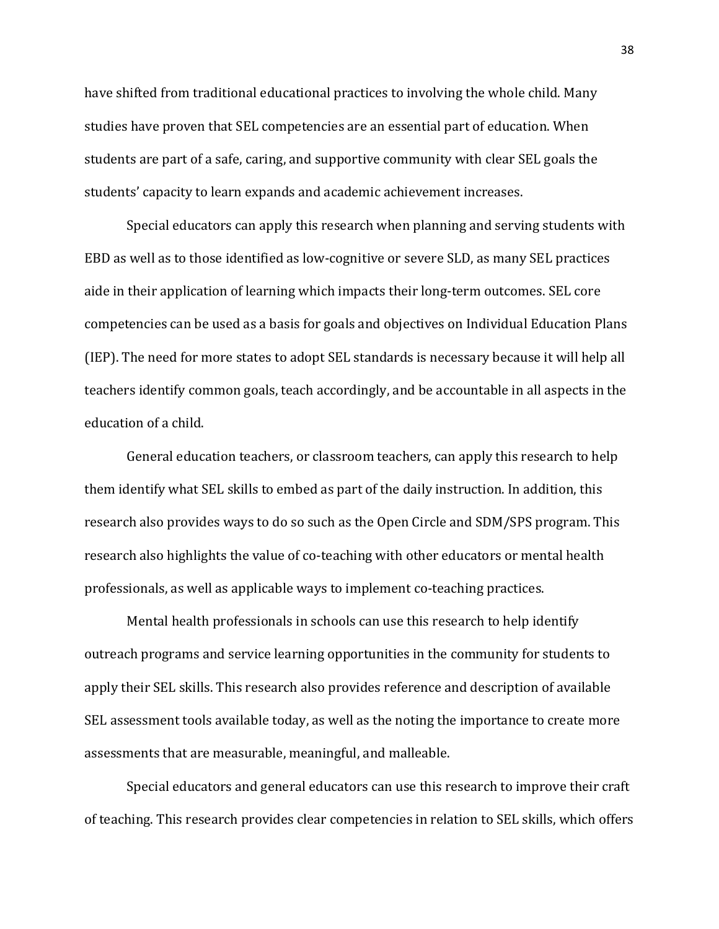have shifted from traditional educational practices to involving the whole child. Many studies have proven that SEL competencies are an essential part of education. When students are part of a safe, caring, and supportive community with clear SEL goals the students' capacity to learn expands and academic achievement increases.

Special educators can apply this research when planning and serving students with EBD as well as to those identified as low-cognitive or severe SLD, as many SEL practices aide in their application of learning which impacts their long-term outcomes. SEL core competencies can be used as a basis for goals and objectives on Individual Education Plans (IEP). The need for more states to adopt SEL standards is necessary because it will help all teachers identify common goals, teach accordingly, and be accountable in all aspects in the education of a child.

General education teachers, or classroom teachers, can apply this research to help them identify what SEL skills to embed as part of the daily instruction. In addition, this research also provides ways to do so such as the Open Circle and SDM/SPS program. This research also highlights the value of co-teaching with other educators or mental health professionals, as well as applicable ways to implement co-teaching practices.

Mental health professionals in schools can use this research to help identify outreach programs and service learning opportunities in the community for students to apply their SEL skills. This research also provides reference and description of available SEL assessment tools available today, as well as the noting the importance to create more assessments that are measurable, meaningful, and malleable.

Special educators and general educators can use this research to improve their craft of teaching. This research provides clear competencies in relation to SEL skills, which offers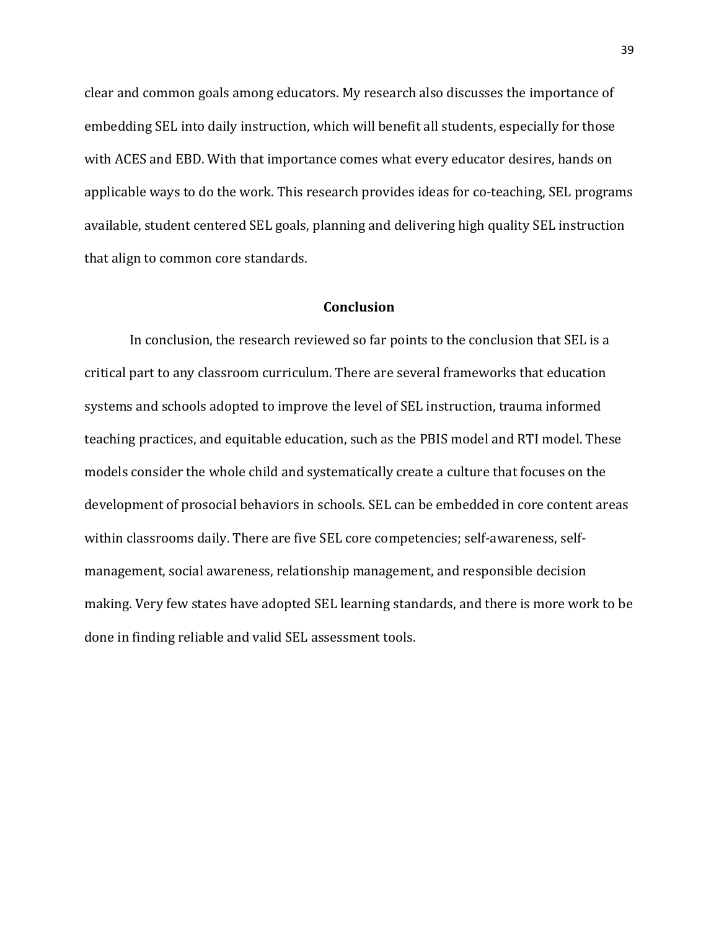clear and common goals among educators. My research also discusses the importance of embedding SEL into daily instruction, which will benefit all students, especially for those with ACES and EBD. With that importance comes what every educator desires, hands on applicable ways to do the work. This research provides ideas for co-teaching, SEL programs available, student centered SEL goals, planning and delivering high quality SEL instruction that align to common core standards.

#### **Conclusion**

 In conclusion, the research reviewed so far points to the conclusion that SEL is a critical part to any classroom curriculum. There are several frameworks that education systems and schools adopted to improve the level of SEL instruction, trauma informed teaching practices, and equitable education, such as the PBIS model and RTI model. These models consider the whole child and systematically create a culture that focuses on the development of prosocial behaviors in schools. SEL can be embedded in core content areas within classrooms daily. There are five SEL core competencies; self-awareness, selfmanagement, social awareness, relationship management, and responsible decision making. Very few states have adopted SEL learning standards, and there is more work to be done in finding reliable and valid SEL assessment tools.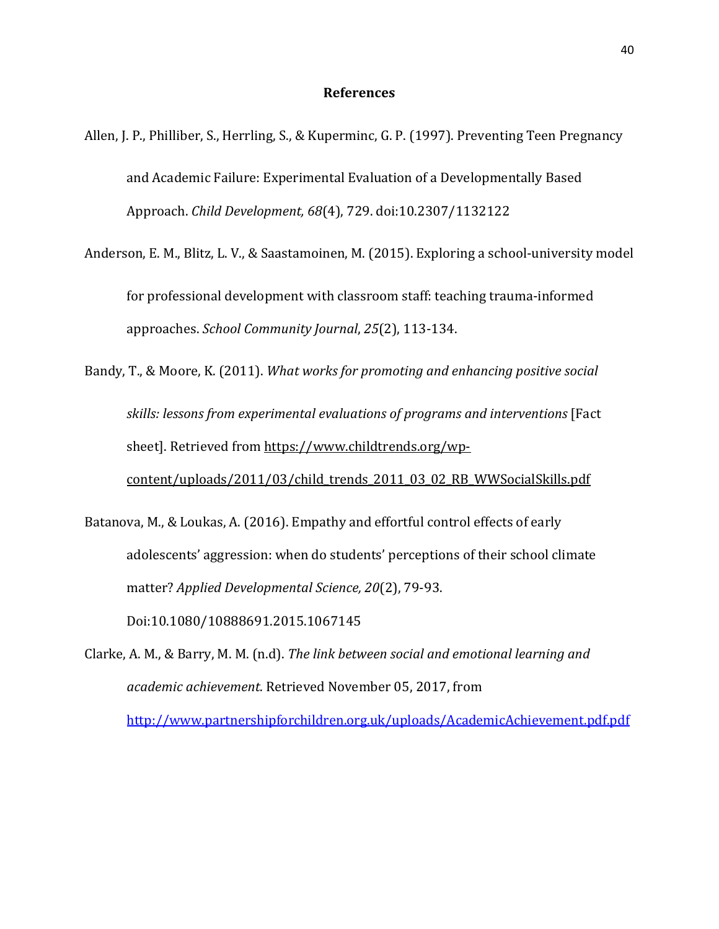#### **References**

- Allen, J. P., Philliber, S., Herrling, S., & Kuperminc, G. P. (1997). Preventing Teen Pregnancy and Academic Failure: Experimental Evaluation of a Developmentally Based Approach. *Child Development, 68*(4), 729. doi:10.2307/1132122
- Anderson, E. M., Blitz, L. V., & Saastamoinen, M. (2015). Exploring a school-university model for professional development with classroom staff: teaching trauma-informed approaches. *School Community Journal*, *25*(2), 113-134.
- Bandy, T., & Moore, K. (2011). *What works for promoting and enhancing positive social skills: lessons from experimental evaluations of programs and interventions* [Fact sheet]. Retrieved from [https://www.childtrends.org/wp](https://www.childtrends.org/wp-content/uploads/2011/03/child_trends_2011_03_02_RB_WWSocialSkills.pdf)[content/uploads/2011/03/child\\_trends\\_2011\\_03\\_02\\_RB\\_WWSocialSkills.pdf](https://www.childtrends.org/wp-content/uploads/2011/03/child_trends_2011_03_02_RB_WWSocialSkills.pdf)
- Batanova, M., & Loukas, A. (2016). Empathy and effortful control effects of early adolescents' aggression: when do students' perceptions of their school climate matter? *Applied Developmental Science, 20*(2), 79-93. Doi:10.1080/10888691.2015.1067145
- Clarke, A. M., & Barry, M. M. (n.d). *The link between social and emotional learning and academic achievement*. Retrieved November 05, 2017, from <http://www.partnershipforchildren.org.uk/uploads/AcademicAchievement.pdf.pdf>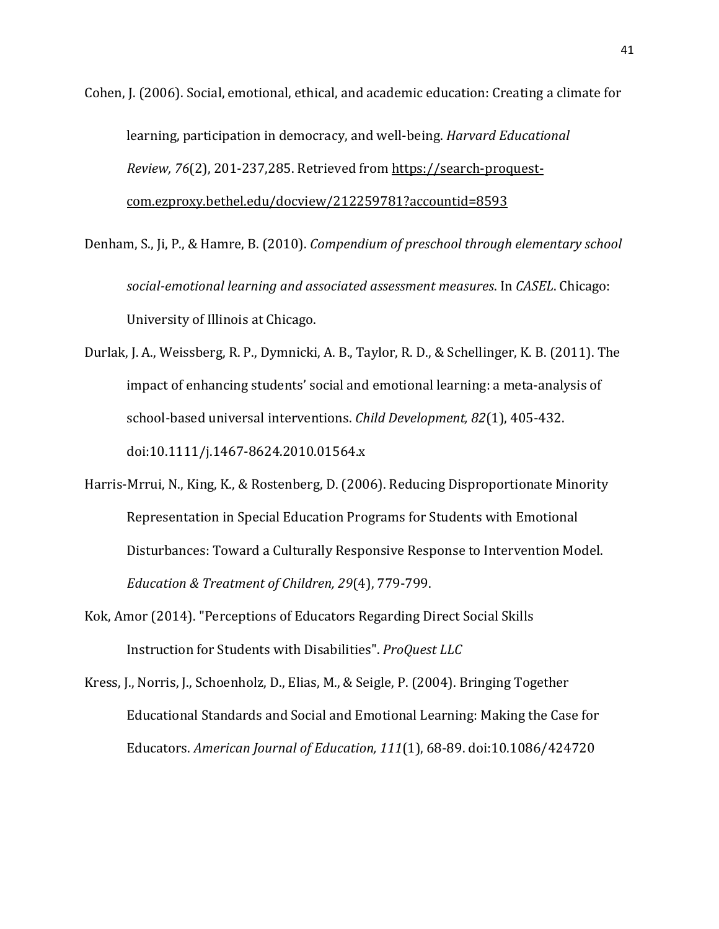Cohen, J. (2006). Social, emotional, ethical, and academic education: Creating a climate for learning, participation in democracy, and well-being. *Harvard Educational Review, 76*(2), 201-237,285. Retrieved from [https://search-proquest](https://search-proquest-com.ezproxy.bethel.edu/docview/212259781?accountid=8593)[com.ezproxy.bethel.edu/docview/212259781?accountid=8593](https://search-proquest-com.ezproxy.bethel.edu/docview/212259781?accountid=8593)

Denham, S., Ji, P., & Hamre, B. (2010). *Compendium of preschool through elementary school social-emotional learning and associated assessment measures*. In *CASEL*. Chicago: University of Illinois at Chicago.

Durlak, J. A., Weissberg, R. P., Dymnicki, A. B., Taylor, R. D., & Schellinger, K. B. (2011). The impact of enhancing students' social and emotional learning: a meta-analysis of school-based universal interventions. *Child Development, 82*(1), 405-432. doi:10.1111/j.1467-8624.2010.01564.x

- Harris-Mrrui, N., King, K., & Rostenberg, D. (2006). Reducing Disproportionate Minority Representation in Special Education Programs for Students with Emotional Disturbances: Toward a Culturally Responsive Response to Intervention Model. *Education & Treatment of Children, 29*(4), 779-799.
- Kok, Amor (2014). "Perceptions of Educators Regarding Direct Social Skills Instruction for Students with Disabilities". *ProQuest LLC*
- Kress, J., Norris, J., Schoenholz, D., Elias, M., & Seigle, P. (2004). Bringing Together Educational Standards and Social and Emotional Learning: Making the Case for Educators. *American Journal of Education, 111*(1), 68-89. doi:10.1086/424720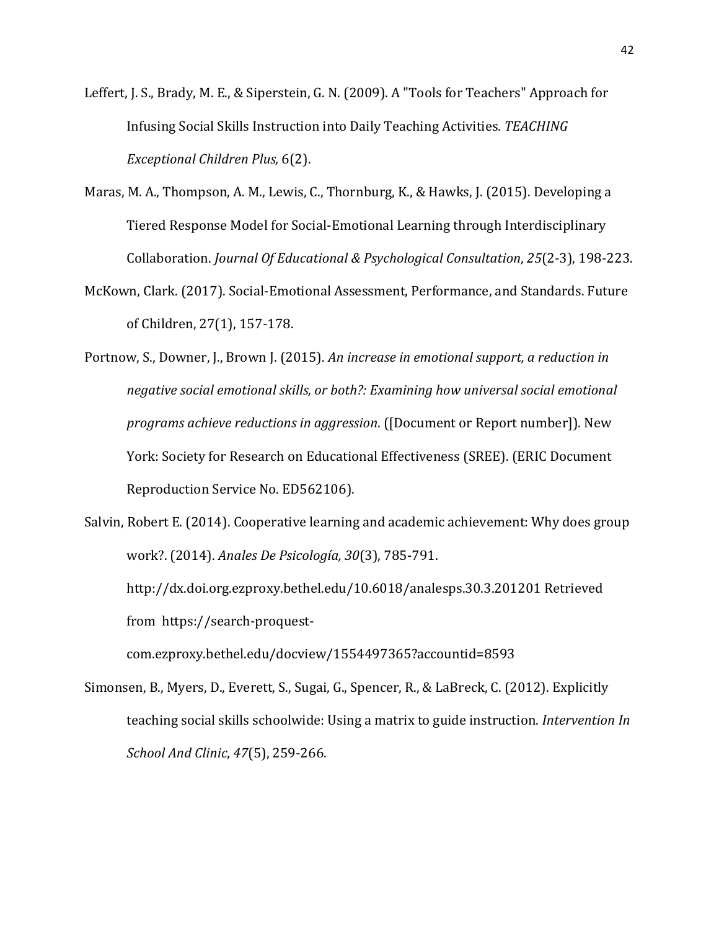- Leffert, J. S., Brady, M. E., & Siperstein, G. N. (2009). A "Tools for Teachers" Approach for Infusing Social Skills Instruction into Daily Teaching Activities*. TEACHING Exceptional Children Plus,* 6(2).
- Maras, M. A., Thompson, A. M., Lewis, C., Thornburg, K., & Hawks, J. (2015). Developing a Tiered Response Model for Social-Emotional Learning through Interdisciplinary Collaboration. *Journal Of Educational & Psychological Consultation*, *25*(2-3), 198-223.
- McKown, Clark. (2017). Social-Emotional Assessment, Performance, and Standards. Future of Children, 27(1), 157-178.
- Portnow, S., Downer, J., Brown J. (2015). *An increase in emotional support, a reduction in negative social emotional skills, or both?: Examining how universal social emotional programs achieve reductions in aggression*. ([Document or Report number]). New York: Society for Research on Educational Effectiveness (SREE). (ERIC Document Reproduction Service No. ED562106).

Salvin, Robert E. (2014). Cooperative learning and academic achievement: Why does group work?. (2014). *Anales De Psicología, 30*(3), 785-791. http://dx.doi.org.ezproxy.bethel.edu/10.6018/analesps.30.3.201201 Retrieved from https://search-proquestcom.ezproxy.bethel.edu/docview/1554497365?accountid=8593

Simonsen, B., Myers, D., Everett, S., Sugai, G., Spencer, R., & LaBreck, C. (2012). Explicitly teaching social skills schoolwide: Using a matrix to guide instruction. *Intervention In School And Clinic*, *47*(5), 259-266.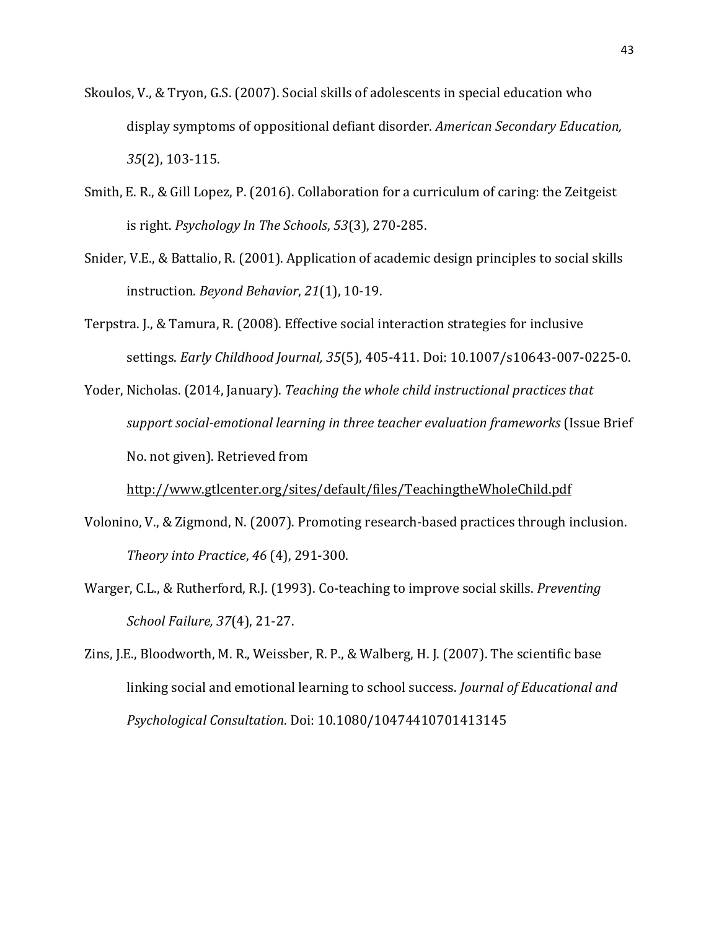- Skoulos, V., & Tryon, G.S. (2007). Social skills of adolescents in special education who display symptoms of oppositional defiant disorder. *American Secondary Education, 35*(2), 103-115.
- Smith, E. R., & Gill Lopez, P. (2016). Collaboration for a curriculum of caring: the Zeitgeist is right. *Psychology In The Schools*, *53*(3), 270-285.
- Snider, V.E., & Battalio, R. (2001). Application of academic design principles to social skills instruction. *Beyond Behavior*, *21*(1), 10-19.
- Terpstra. J., & Tamura, R. (2008). Effective social interaction strategies for inclusive settings. *Early Childhood Journal, 35*(5), 405-411. Doi: 10.1007/s10643-007-0225-0.
- Yoder, Nicholas. (2014, January). *Teaching the whole child instructional practices that support social-emotional learning in three teacher evaluation frameworks* (Issue Brief No. not given). Retrieved from

<http://www.gtlcenter.org/sites/default/files/TeachingtheWholeChild.pdf>

- Volonino, V., & Zigmond, N. (2007). Promoting research-based practices through inclusion. *Theory into Practice*, *46* (4), 291-300.
- Warger, C.L., & Rutherford, R.J. (1993). Co-teaching to improve social skills. *Preventing School Failure, 37*(4), 21-27.
- Zins, J.E., Bloodworth, M. R., Weissber, R. P., & Walberg, H. J. (2007). The scientific base linking social and emotional learning to school success. *Journal of Educational and Psychological Consultation*. Doi: 10.1080/10474410701413145